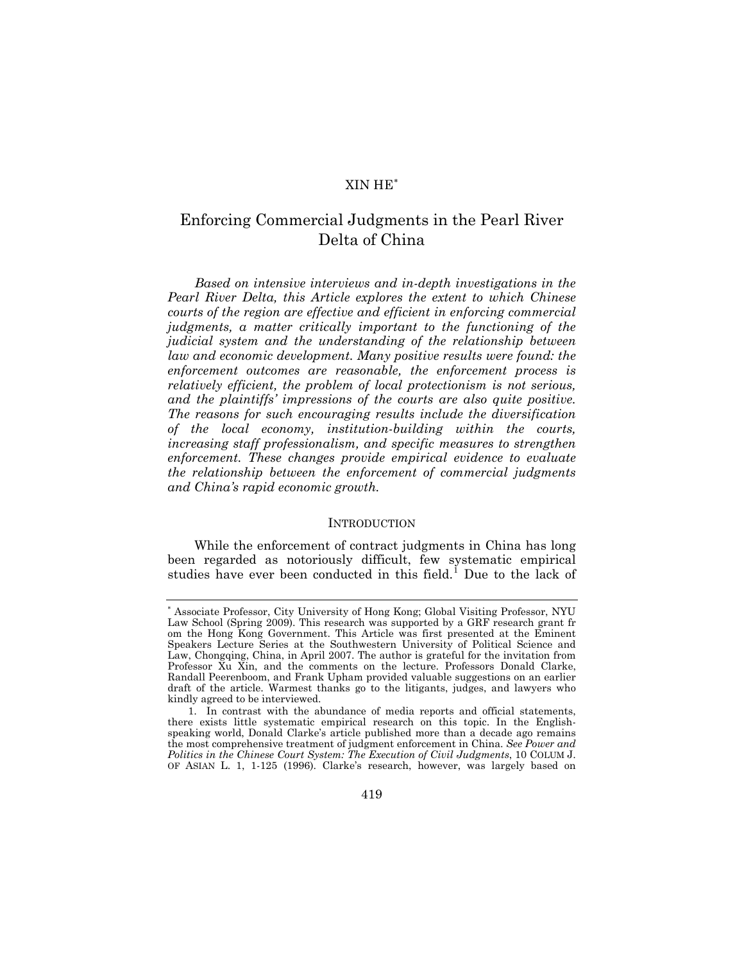## XIN HE[∗](#page-0-0)

# Enforcing Commercial Judgments in the Pearl River Delta of China

*Based on intensive interviews and in-depth investigations in the Pearl River Delta, this Article explores the extent to which Chinese courts of the region are effective and efficient in enforcing commercial judgments, a matter critically important to the functioning of the judicial system and the understanding of the relationship between law and economic development. Many positive results were found: the enforcement outcomes are reasonable, the enforcement process is relatively efficient, the problem of local protectionism is not serious, and the plaintiffs' impressions of the courts are also quite positive. The reasons for such encouraging results include the diversification of the local economy, institution-building within the courts, increasing staff professionalism, and specific measures to strengthen enforcement. These changes provide empirical evidence to evaluate the relationship between the enforcement of commercial judgments and China's rapid economic growth.* 

#### **INTRODUCTION**

While the enforcement of contract judgments in China has long been regarded as notoriously difficult, few systematic empirical studies have ever been conducted in this field.<sup>I</sup> Due to the lack of

<span id="page-0-0"></span><sup>∗</sup> Associate Professor, City University of Hong Kong; Global Visiting Professor, NYU Law School (Spring 2009). This research was supported by a GRF research grant fr om the Hong Kong Government. This Article was first presented at the Eminent Speakers Lecture Series at the Southwestern University of Political Science and Law, Chongqing, China, in April 2007. The author is grateful for the invitation from Professor Xu Xin, and the comments on the lecture. Professors Donald Clarke, Randall Peerenboom, and Frank Upham provided valuable suggestions on an earlier draft of the article. Warmest thanks go to the litigants, judges, and lawyers who kindly agreed to be interviewed.

<span id="page-0-1"></span> <sup>1.</sup> In contrast with the abundance of media reports and official statements, there exists little systematic empirical research on this topic. In the Englishspeaking world, Donald Clarke's article published more than a decade ago remains the most comprehensive treatment of judgment enforcement in China. *See Power and Politics in the Chinese Court System: The Execution of Civil Judgments*, 10 [COLUM J.](http://www.columbia.edu/cu/asiaweb/) [OF ASIAN L.](http://www.columbia.edu/cu/asiaweb/) 1, 1-125 (1996). Clarke's research, however, was largely based on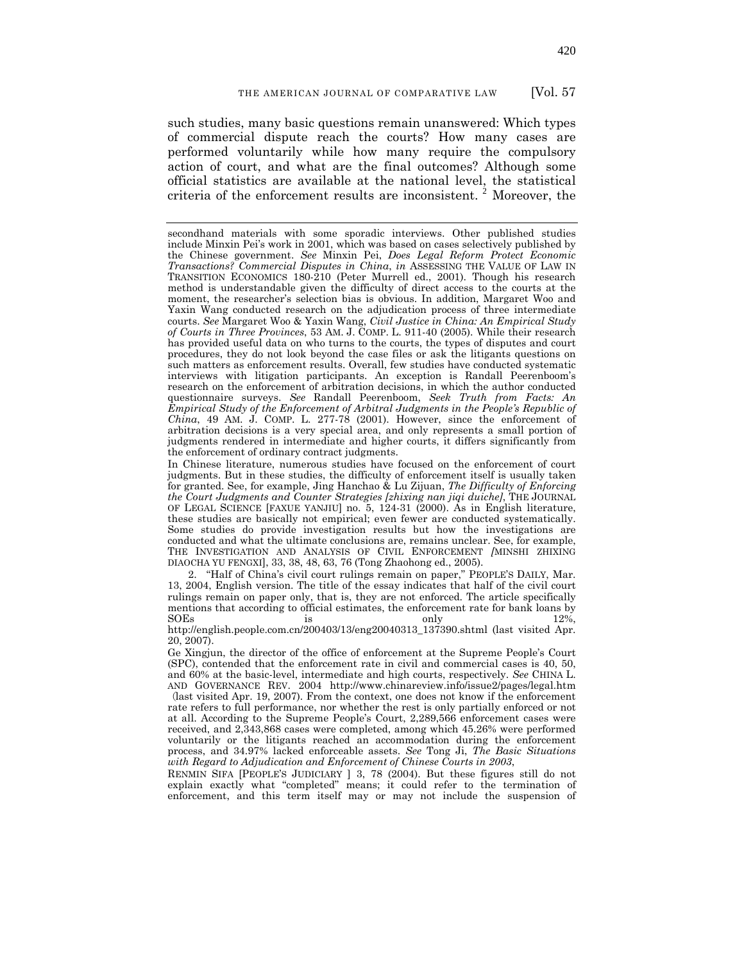such studies, many basic questions remain unanswered: Which types of commercial dispute reach the courts? How many cases are performed voluntarily while how many require the compulsory action of court, and what are the final outcomes? Although some official statistics are available at the national level, the statistical criteria of the enforcement results are inconsistent.<sup>[2](#page-1-0)</sup> Moreover, the

<span id="page-1-0"></span> 2. "Half of China's civil court rulings remain on paper," PEOPLE'S DAILY, Mar. 13, 2004, English version. The title of the essay indicates that half of the civil court rulings remain on paper only, that is, they are not enforced. The article specifically mentions that according to official estimates, the enforcement rate for bank loans by SOEs is only  $12\%,$ 

http://english.people.com.cn/200403/13/eng20040313\_137390.shtml (last visited Apr. 20, 2007).

Ge Xingjun, the director of the office of enforcement at the Supreme People's Court (SPC), contended that the enforcement rate in civil and commercial cases is 40, 50, and 60% at the basic-level, intermediate and high courts, respectively. *See* CHINA L. AND GOVERNANCE REV. 2004 http://www.chinareview.info/issue2/pages/legal.htm (last visited Apr. 19, 2007). From the context, one does not know if the enforcement rate refers to full performance, nor whether the rest is only partially enforced or not at all. According to the Supreme People's Court, 2,289,566 enforcement cases were received, and 2,343,868 cases were completed, among which 45.26% were performed voluntarily or the litigants reached an accommodation during the enforcement process, and 34.97% lacked enforceable assets. *See* Tong Ji, *The Basic Situations with Regard to Adjudication and Enforcement of Chinese Courts in 2003*,

RENMIN SIFA [PEOPLE'S JUDICIARY ] 3, 78 (2004). But these figures still do not explain exactly what "completed" means; it could refer to the termination of enforcement, and this term itself may or may not include the suspension of

secondhand materials with some sporadic interviews. Other published studies include Minxin Pei's work in 2001, which was based on cases selectively published by the Chinese government. *See* Minxin Pei, *Does Legal Reform Protect Economic Transactions? Commercial Disputes in China*, *in* ASSESSING THE VALUE OF LAW IN TRANSITION ECONOMICS 180-210 (Peter Murrell ed., 2001). Though his research method is understandable given the difficulty of direct access to the courts at the moment, the researcher's selection bias is obvious. In addition, Margaret Woo and Yaxin Wang conducted research on the adjudication process of three intermediate courts. *See* Margaret Woo & Yaxin Wang, *Civil Justice in China: An Empirical Study of Courts in Three Provinces*, 53 AM. J. COMP. L. 911-40 (2005). While their research has provided useful data on who turns to the courts, the types of disputes and court procedures, they do not look beyond the case files or ask the litigants questions on such matters as enforcement results. Overall, few studies have conducted systematic interviews with litigation participants. An exception is Randall Peerenboom's research on the enforcement of arbitration decisions, in which the author conducted questionnaire surveys. *See* Randall Peerenboom, *Seek Truth from Facts: An Empirical Study of the Enforcement of Arbitral Judgments in the People's Republic of China*, 49 AM. J. COMP. L. 277-78 (2001). However, since the enforcement of arbitration decisions is a very special area, and only represents a small portion of judgments rendered in intermediate and higher courts, it differs significantly from the enforcement of ordinary contract judgments.

In Chinese literature, numerous studies have focused on the enforcement of court judgments. But in these studies, the difficulty of enforcement itself is usually taken for granted. See, for example, Jing Hanchao & Lu Zijuan, *The Difficulty of Enforcing the Court Judgments and Counter Strategies [zhixing nan jiqi duiche]*, THE JOURNAL OF LEGAL SCIENCE [FAXUE YANJIU] no. 5, 124-31 (2000). As in English literature, these studies are basically not empirical; even fewer are conducted systematically. Some studies do provide investigation results but how the investigations are conducted and what the ultimate conclusions are, remains unclear. See, for example, THE INVESTIGATION AND ANALYSIS OF CIVIL ENFORCEMENT *[*MINSHI ZHIXING DIAOCHA YU FENGXI], 33, 38, 48, 63, 76 (Tong Zhaohong ed., 2005).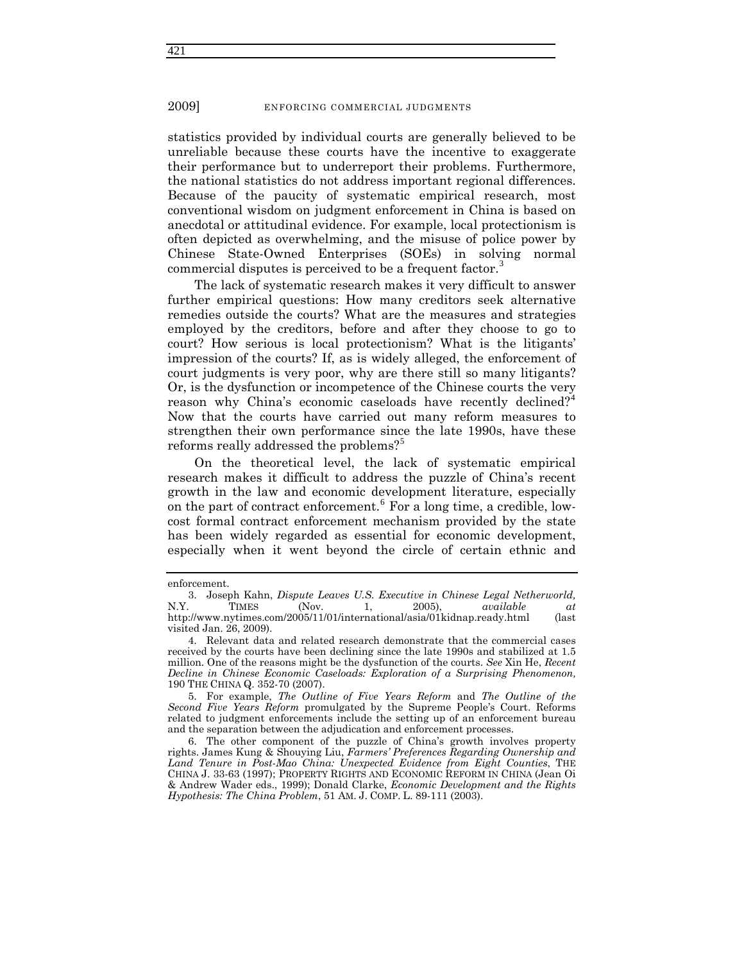statistics provided by individual courts are generally believed to be unreliable because these courts have the incentive to exaggerate their performance but to underreport their problems. Furthermore, the national statistics do not address important regional differences. Because of the paucity of systematic empirical research, most conventional wisdom on judgment enforcement in China is based on anecdotal or attitudinal evidence. For example, local protectionism is often depicted as overwhelming, and the misuse of police power by Chinese State-Owned Enterprises (SOEs) in solving normal commercial disputes is perceived to be a frequent factor.<sup>[3](#page-2-0)</sup>

The lack of systematic research makes it very difficult to answer further empirical questions: How many creditors seek alternative remedies outside the courts? What are the measures and strategies employed by the creditors, before and after they choose to go to court? How serious is local protectionism? What is the litigants' impression of the courts? If, as is widely alleged, the enforcement of court judgments is very poor, why are there still so many litigants? Or, is the dysfunction or incompetence of the Chinese courts the very reason why China's economic caseloads have recently declined?<sup>[4](#page-2-1)</sup> Now that the courts have carried out many reform measures to strengthen their own performance since the late 1990s, have these reforms really addressed the problems?<sup>[5](#page-2-2)</sup>

On the theoretical level, the lack of systematic empirical research makes it difficult to address the puzzle of China's recent growth in the law and economic development literature, especially on the part of contract enforcement.<sup>[6](#page-2-3)</sup> For a long time, a credible, lowcost formal contract enforcement mechanism provided by the state has been widely regarded as essential for economic development, especially when it went beyond the circle of certain ethnic and

enforcement.

<span id="page-2-0"></span> <sup>3.</sup> Joseph Kahn, *Dispute Leaves U.S. Executive in Chinese Legal Netherworld,* N.Y. TIMES (Nov. 1, 2005), *available at* http://www.nytimes.com/2005/11/01/international/asia/01kidnap.ready.html (last visited Jan. 26, 2009).

<span id="page-2-1"></span> <sup>4.</sup> Relevant data and related research demonstrate that the commercial cases received by the courts have been declining since the late 1990s and stabilized at 1.5 million. One of the reasons might be the dysfunction of the courts. *See* Xin He, *Recent Decline in Chinese Economic Caseloads: Exploration of a Surprising Phenomenon,* 190 THE CHINA Q. 352-70 (2007).

<span id="page-2-2"></span> <sup>5.</sup> For example, *The Outline of Five Years Reform* and *The Outline of the Second Five Years Reform* promulgated by the Supreme People's Court. Reforms related to judgment enforcements include the setting up of an enforcement bureau and the separation between the adjudication and enforcement processes.

<span id="page-2-3"></span> <sup>6.</sup> The other component of the puzzle of China's growth involves property rights. James Kung & Shouying Liu, *Farmers' Preferences Regarding Ownership and Land Tenure in Post-Mao China: Unexpected Evidence from Eight Counties*, THE CHINA J. 33-63 (1997); PROPERTY RIGHTS AND ECONOMIC REFORM IN CHINA (Jean Oi & Andrew Wader eds., 1999); Donald Clarke, *Economic Development and the Rights Hypothesis: The China Problem*, 51 AM. J. COMP. L. 89-111 (2003).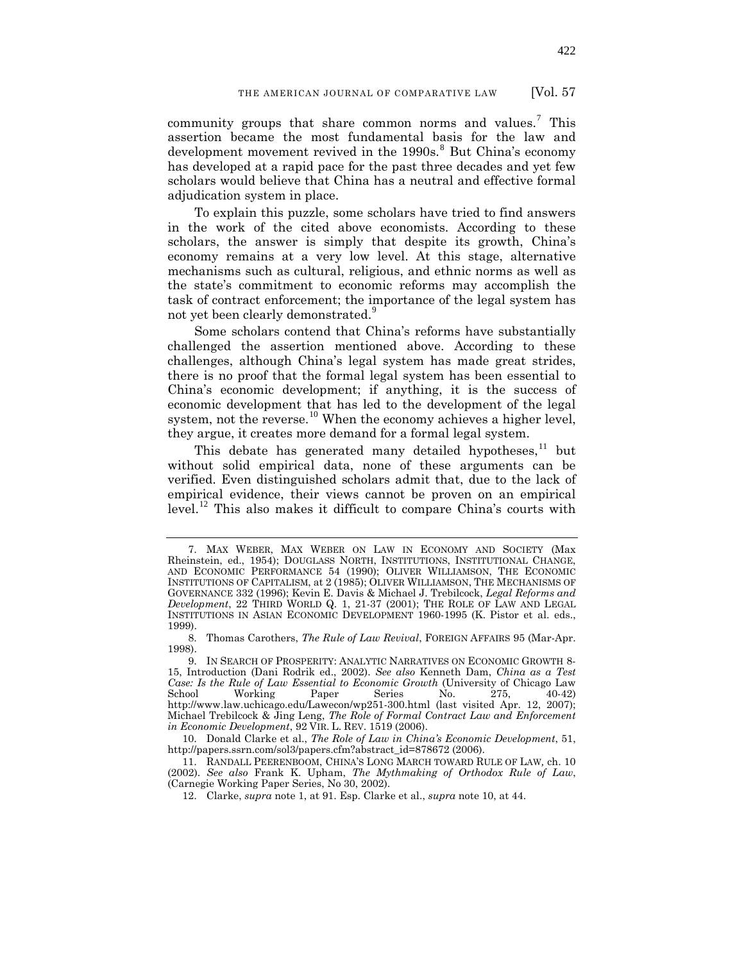community groups that share common norms and values.<sup>[7](#page-3-0)</sup> This assertion became the most fundamental basis for the law and development movement revived in the 1990s.<sup>[8](#page-3-1)</sup> But China's economy has developed at a rapid pace for the past three decades and yet few scholars would believe that China has a neutral and effective formal adjudication system in place.

To explain this puzzle, some scholars have tried to find answers in the work of the cited above economists. According to these scholars, the answer is simply that despite its growth, China's economy remains at a very low level. At this stage, alternative mechanisms such as cultural, religious, and ethnic norms as well as the state's commitment to economic reforms may accomplish the task of contract enforcement; the importance of the legal system has not yet been clearly demonstrated.<sup>[9](#page-3-2)</sup>

Some scholars contend that China's reforms have substantially challenged the assertion mentioned above. According to these challenges, although China's legal system has made great strides, there is no proof that the formal legal system has been essential to China's economic development; if anything, it is the success of economic development that has led to the development of the legal system, not the reverse.<sup>[10](#page-3-3)</sup> When the economy achieves a higher level, they argue, it creates more demand for a formal legal system.

This debate has generated many detailed hypotheses,  $\frac{11}{1}$  $\frac{11}{1}$  $\frac{11}{1}$  but without solid empirical data, none of these arguments can be verified. Even distinguished scholars admit that, due to the lack of empirical evidence, their views cannot be proven on an empirical level.[12](#page-3-5) This also makes it difficult to compare China's courts with

<span id="page-3-0"></span> <sup>7.</sup> MAX WEBER, MAX WEBER ON LAW IN ECONOMY AND SOCIETY (Max Rheinstein, ed., 1954); DOUGLASS NORTH, INSTITUTIONS, INSTITUTIONAL CHANGE, AND ECONOMIC PERFORMANCE 54 (1990); OLIVER WILLIAMSON, THE ECONOMIC INSTITUTIONS OF CAPITALISM, at 2 (1985); OLIVER WILLIAMSON, THE MECHANISMS OF GOVERNANCE 332 (1996); Kevin E. Davis & Michael J. Trebilcock, *Legal Reforms and Development*, 22 THIRD WORLD Q. 1, 21-37 (2001); THE ROLE OF LAW AND LEGAL INSTITUTIONS IN ASIAN ECONOMIC DEVELOPMENT 1960-1995 (K. Pistor et al. eds., 1999).

<span id="page-3-1"></span> <sup>8.</sup> Thomas Carothers, *The Rule of Law Revival*, FOREIGN AFFAIRS 95 (Mar-Apr. 1998).

<span id="page-3-2"></span> <sup>9.</sup> IN SEARCH OF PROSPERITY: ANALYTIC NARRATIVES ON ECONOMIC GROWTH 8- 15, Introduction (Dani Rodrik ed., 2002). *See also* Kenneth Dam, *China as a Test Case: Is the Rule of Law Essential to Economic Growth* (University of Chicago Law School Working Paper Series No. 275, 40-42) http://www.law.uchicago.edu/Lawecon/wp251-300.html (last visited Apr. 12, 2007); Michael Trebilcock & Jing Leng, *The Role of Formal Contract Law and Enforcement in Economic Development*, 92 VIR. L. REV. 1519 (2006).

<span id="page-3-3"></span> <sup>10.</sup> Donald Clarke et al., *The Role of Law in China's Economic Development*, 51, http://papers.ssrn.com/sol3/papers.cfm?abstract\_id=878672 (2006).

<span id="page-3-5"></span><span id="page-3-4"></span> <sup>11.</sup> RANDALL PEERENBOOM, CHINA'S LONG MARCH TOWARD RULE OF LAW*,* ch. 10 (2002). *See also* Frank K. Upham, *The Mythmaking of Orthodox Rule of Law*, (Carnegie Working Paper Series, No 30, 2002).

 <sup>12.</sup> Clarke, *supra* note 1, at 91. Esp. Clarke et al., *supra* note 10, at 44.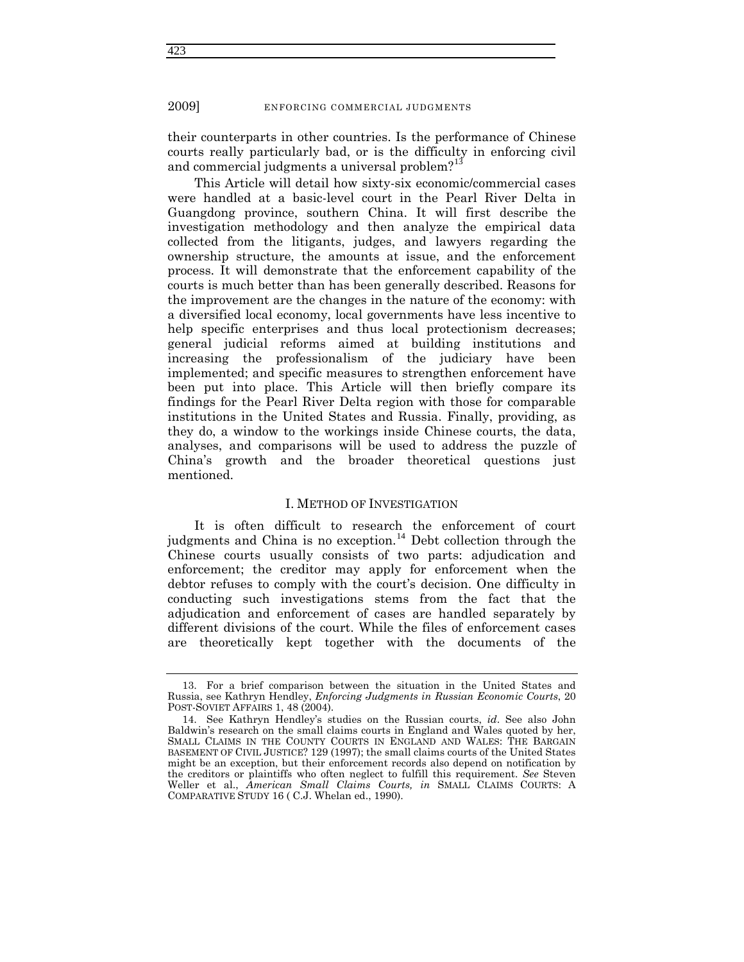their counterparts in other countries. Is the performance of Chinese courts really particularly bad, or is the difficulty in enforcing civil and commercial judgments a universal problem?<sup>[13](#page-4-0)</sup>

This Article will detail how sixty-six economic/commercial cases were handled at a basic-level court in the Pearl River Delta in Guangdong province, southern China. It will first describe the investigation methodology and then analyze the empirical data collected from the litigants, judges, and lawyers regarding the ownership structure, the amounts at issue, and the enforcement process. It will demonstrate that the enforcement capability of the courts is much better than has been generally described. Reasons for the improvement are the changes in the nature of the economy: with a diversified local economy, local governments have less incentive to help specific enterprises and thus local protectionism decreases; general judicial reforms aimed at building institutions and increasing the professionalism of the judiciary have been implemented; and specific measures to strengthen enforcement have been put into place. This Article will then briefly compare its findings for the Pearl River Delta region with those for comparable institutions in the United States and Russia. Finally, providing, as they do, a window to the workings inside Chinese courts, the data, analyses, and comparisons will be used to address the puzzle of China's growth and the broader theoretical questions just mentioned.

#### I. METHOD OF INVESTIGATION

It is often difficult to research the enforcement of court judgments and China is no exception.<sup>[14](#page-4-1)</sup> Debt collection through the Chinese courts usually consists of two parts: adjudication and enforcement; the creditor may apply for enforcement when the debtor refuses to comply with the court's decision. One difficulty in conducting such investigations stems from the fact that the adjudication and enforcement of cases are handled separately by different divisions of the court. While the files of enforcement cases are theoretically kept together with the documents of the

<span id="page-4-0"></span> <sup>13.</sup> For a brief comparison between the situation in the United States and Russia, see Kathryn Hendley, *Enforcing Judgments in Russian Economic Courts*, 20 POST-SOVIET AFFAIRS 1, 48 (2004).

<span id="page-4-1"></span> <sup>14.</sup> See Kathryn Hendley's studies on the Russian courts, *id*. See also John Baldwin's research on the small claims courts in England and Wales quoted by her, SMALL CLAIMS IN THE COUNTY COURTS IN ENGLAND AND WALES: THE BARGAIN BASEMENT OF CIVIL JUSTICE? 129 (1997); the small claims courts of the United States might be an exception, but their enforcement records also depend on notification by the creditors or plaintiffs who often neglect to fulfill this requirement. *See* Steven Weller et al., *American Small Claims Courts, in* SMALL CLAIMS COURTS: A COMPARATIVE STUDY 16 ( C.J. Whelan ed., 1990).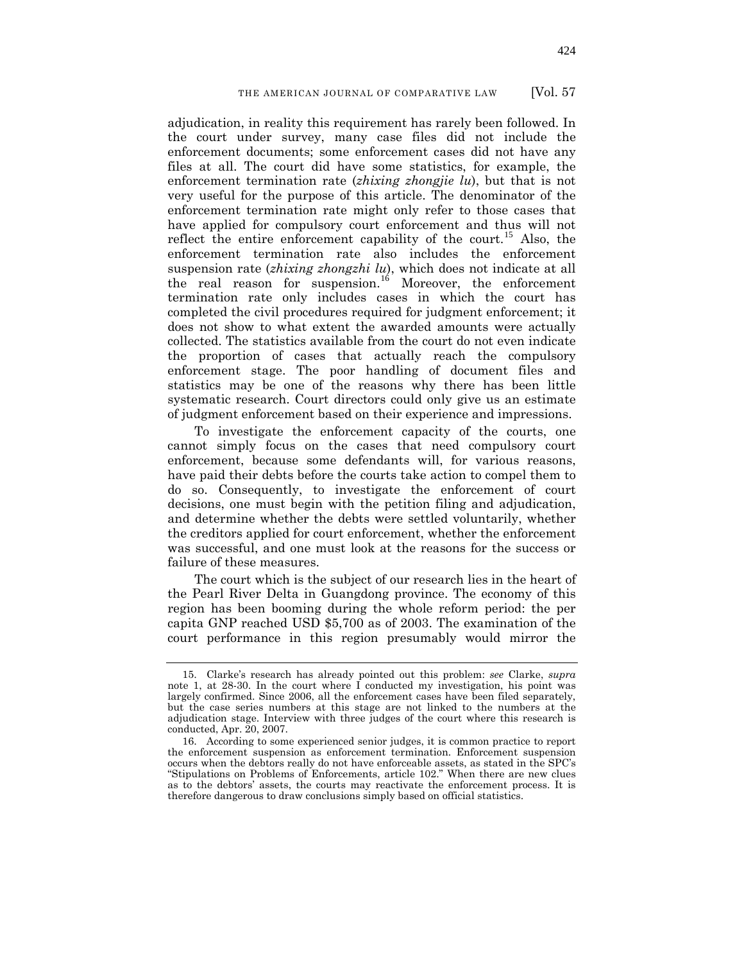adjudication, in reality this requirement has rarely been followed. In the court under survey, many case files did not include the enforcement documents; some enforcement cases did not have any files at all. The court did have some statistics, for example, the enforcement termination rate (*zhixing zhongjie lu*), but that is not very useful for the purpose of this article. The denominator of the enforcement termination rate might only refer to those cases that have applied for compulsory court enforcement and thus will not reflect the entire enforcement capability of the court.<sup>[15](#page-5-0)</sup> Also, the enforcement termination rate also includes the enforcement suspension rate (*zhixing zhongzhi lu*), which does not indicate at all the real reason for suspension.<sup>[16](#page-5-1)</sup> Moreover, the enforcement termination rate only includes cases in which the court has completed the civil procedures required for judgment enforcement; it does not show to what extent the awarded amounts were actually collected. The statistics available from the court do not even indicate the proportion of cases that actually reach the compulsory enforcement stage. The poor handling of document files and statistics may be one of the reasons why there has been little systematic research. Court directors could only give us an estimate of judgment enforcement based on their experience and impressions.

To investigate the enforcement capacity of the courts, one cannot simply focus on the cases that need compulsory court enforcement, because some defendants will, for various reasons, have paid their debts before the courts take action to compel them to do so. Consequently, to investigate the enforcement of court decisions, one must begin with the petition filing and adjudication, and determine whether the debts were settled voluntarily, whether the creditors applied for court enforcement, whether the enforcement was successful, and one must look at the reasons for the success or failure of these measures.

The court which is the subject of our research lies in the heart of the Pearl River Delta in Guangdong province. The economy of this region has been booming during the whole reform period: the per capita GNP reached USD \$5,700 as of 2003. The examination of the court performance in this region presumably would mirror the

<span id="page-5-0"></span> <sup>15.</sup> Clarke's research has already pointed out this problem: *see* Clarke, *supra* note 1, at 28-30. In the court where I conducted my investigation, his point was largely confirmed. Since 2006, all the enforcement cases have been filed separately, but the case series numbers at this stage are not linked to the numbers at the adjudication stage. Interview with three judges of the court where this research is conducted, Apr. 20, 2007.

<span id="page-5-1"></span> <sup>16.</sup> According to some experienced senior judges, it is common practice to report the enforcement suspension as enforcement termination. Enforcement suspension occurs when the debtors really do not have enforceable assets, as stated in the SPC's "Stipulations on Problems of Enforcements, article 102." When there are new clues as to the debtors' assets, the courts may reactivate the enforcement process. It is therefore dangerous to draw conclusions simply based on official statistics.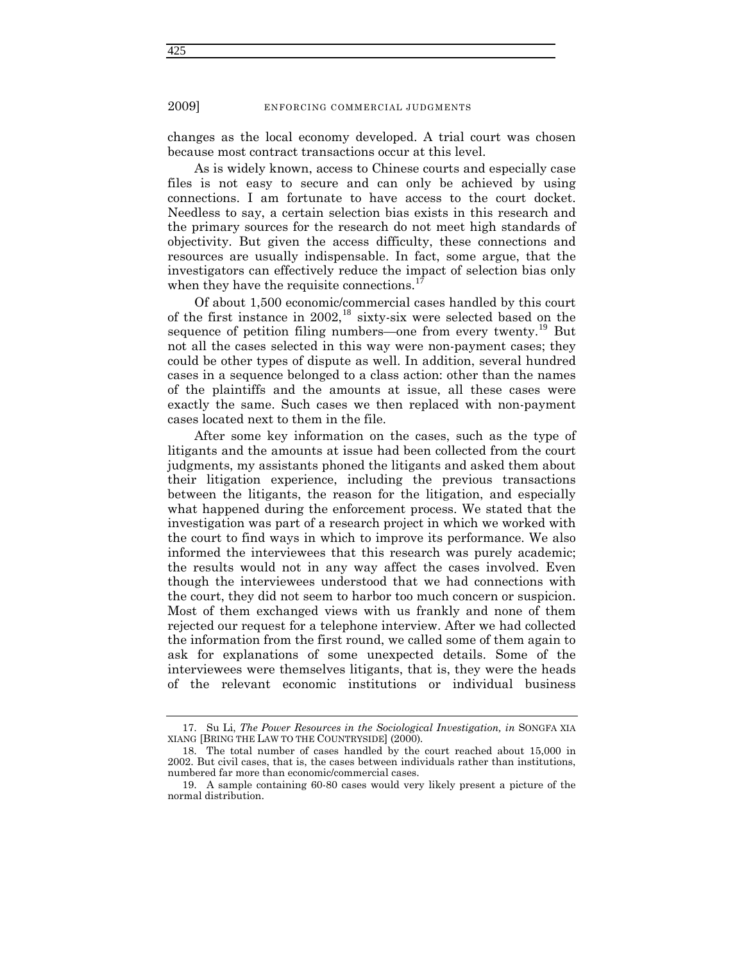changes as the local economy developed. A trial court was chosen because most contract transactions occur at this level.

As is widely known, access to Chinese courts and especially case files is not easy to secure and can only be achieved by using connections. I am fortunate to have access to the court docket. Needless to say, a certain selection bias exists in this research and the primary sources for the research do not meet high standards of objectivity. But given the access difficulty, these connections and resources are usually indispensable. In fact, some argue, that the investigators can effectively reduce the impact of selection bias only when they have the requisite connections.<sup>11</sup>

Of about 1,500 economic/commercial cases handled by this court of the first instance in  $2002$ ,<sup>[18](#page-6-1)</sup> sixty-six were selected based on the sequence of petition filing numbers—one from every twenty.<sup>[19](#page-6-2)</sup> But not all the cases selected in this way were non-payment cases; they could be other types of dispute as well. In addition, several hundred cases in a sequence belonged to a class action: other than the names of the plaintiffs and the amounts at issue, all these cases were exactly the same. Such cases we then replaced with non-payment cases located next to them in the file.

After some key information on the cases, such as the type of litigants and the amounts at issue had been collected from the court judgments, my assistants phoned the litigants and asked them about their litigation experience, including the previous transactions between the litigants, the reason for the litigation, and especially what happened during the enforcement process. We stated that the investigation was part of a research project in which we worked with the court to find ways in which to improve its performance. We also informed the interviewees that this research was purely academic; the results would not in any way affect the cases involved. Even though the interviewees understood that we had connections with the court, they did not seem to harbor too much concern or suspicion. Most of them exchanged views with us frankly and none of them rejected our request for a telephone interview. After we had collected the information from the first round, we called some of them again to ask for explanations of some unexpected details. Some of the interviewees were themselves litigants, that is, they were the heads of the relevant economic institutions or individual business

<span id="page-6-0"></span> <sup>17.</sup> Su Li, *The Power Resources in the Sociological Investigation, in* SONGFA XIA XIANG [BRING THE LAW TO THE COUNTRYSIDE] (2000)*.*

<span id="page-6-1"></span> <sup>18.</sup> The total number of cases handled by the court reached about 15,000 in 2002. But civil cases, that is, the cases between individuals rather than institutions, numbered far more than economic/commercial cases.

<span id="page-6-2"></span> <sup>19.</sup> A sample containing 60-80 cases would very likely present a picture of the normal distribution.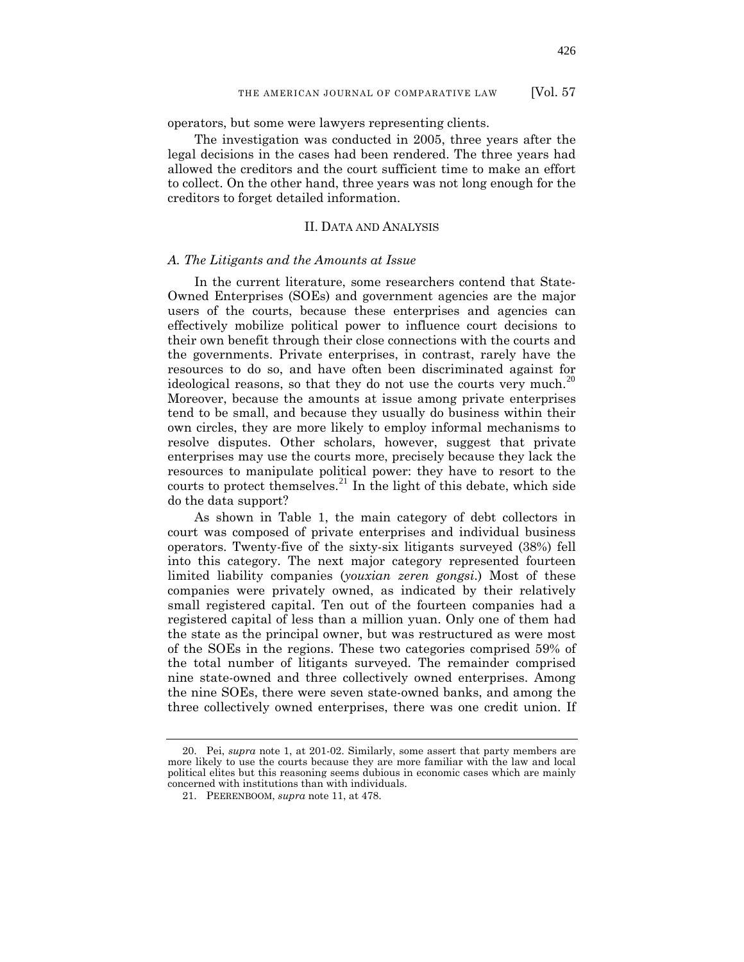operators, but some were lawyers representing clients.

The investigation was conducted in 2005, three years after the legal decisions in the cases had been rendered. The three years had allowed the creditors and the court sufficient time to make an effort to collect. On the other hand, three years was not long enough for the creditors to forget detailed information.

#### II. DATA AND ANALYSIS

#### *A. The Litigants and the Amounts at Issue*

In the current literature, some researchers contend that State-Owned Enterprises (SOEs) and government agencies are the major users of the courts, because these enterprises and agencies can effectively mobilize political power to influence court decisions to their own benefit through their close connections with the courts and the governments. Private enterprises, in contrast, rarely have the resources to do so, and have often been discriminated against for ideological reasons, so that they do not use the courts very much.<sup>[20](#page-7-0)</sup> Moreover, because the amounts at issue among private enterprises tend to be small, and because they usually do business within their own circles, they are more likely to employ informal mechanisms to resolve disputes. Other scholars, however, suggest that private enterprises may use the courts more, precisely because they lack the resources to manipulate political power: they have to resort to the courts to protect themselves. $^{21}$  $^{21}$  $^{21}$  In the light of this debate, which side do the data support?

As shown in Table 1, the main category of debt collectors in court was composed of private enterprises and individual business operators. Twenty-five of the sixty-six litigants surveyed (38%) fell into this category. The next major category represented fourteen limited liability companies (*youxian zeren gongsi*.) Most of these companies were privately owned, as indicated by their relatively small registered capital. Ten out of the fourteen companies had a registered capital of less than a million yuan. Only one of them had the state as the principal owner, but was restructured as were most of the SOEs in the regions. These two categories comprised 59% of the total number of litigants surveyed. The remainder comprised nine state-owned and three collectively owned enterprises. Among the nine SOEs, there were seven state-owned banks, and among the three collectively owned enterprises, there was one credit union. If

<span id="page-7-1"></span><span id="page-7-0"></span> <sup>20.</sup> Pei, *supra* note 1, at 201-02. Similarly, some assert that party members are more likely to use the courts because they are more familiar with the law and local political elites but this reasoning seems dubious in economic cases which are mainly concerned with institutions than with individuals.

 <sup>21.</sup> PEERENBOOM, *supra* note 11, at 478.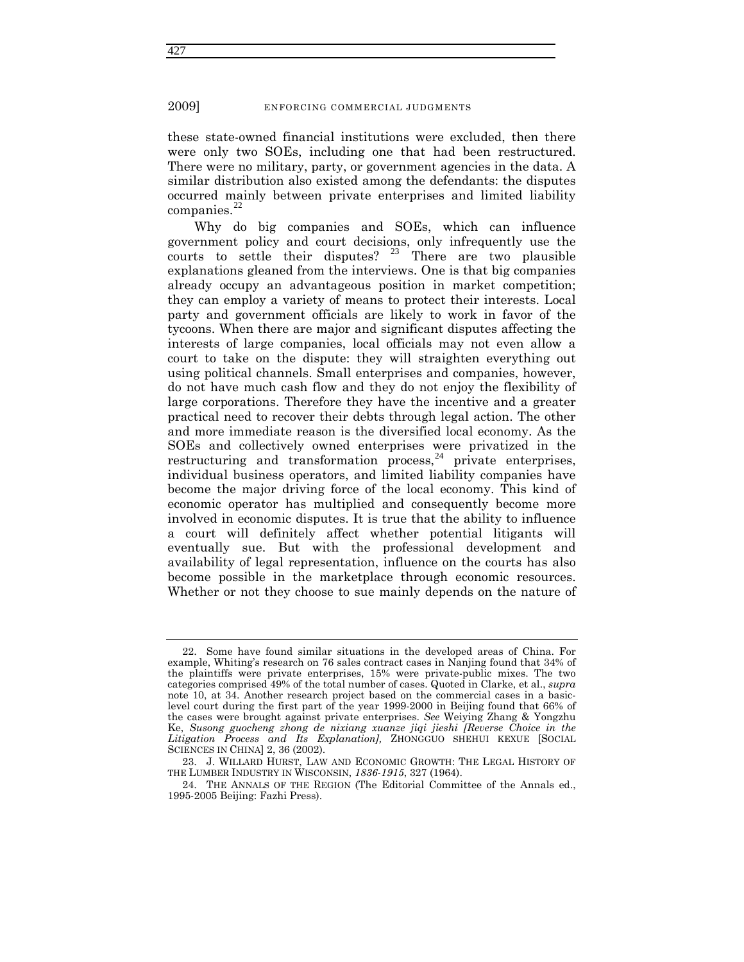these state-owned financial institutions were excluded, then there were only two SOEs, including one that had been restructured. There were no military, party, or government agencies in the data. A similar distribution also existed among the defendants: the disputes occurred mainly between private enterprises and limited liability companies. $^{22}$  $^{22}$  $^{22}$ 

Why do big companies and SOEs, which can influence government policy and court decisions, only infrequently use the courts to settle their disputes?  $23$  There are two plausible explanations gleaned from the interviews. One is that big companies already occupy an advantageous position in market competition; they can employ a variety of means to protect their interests. Local party and government officials are likely to work in favor of the tycoons. When there are major and significant disputes affecting the interests of large companies, local officials may not even allow a court to take on the dispute: they will straighten everything out using political channels. Small enterprises and companies, however, do not have much cash flow and they do not enjoy the flexibility of large corporations. Therefore they have the incentive and a greater practical need to recover their debts through legal action. The other and more immediate reason is the diversified local economy. As the SOEs and collectively owned enterprises were privatized in the restructuring and transformation process, $^{24}$  $^{24}$  $^{24}$  private enterprises, individual business operators, and limited liability companies have become the major driving force of the local economy. This kind of economic operator has multiplied and consequently become more involved in economic disputes. It is true that the ability to influence a court will definitely affect whether potential litigants will eventually sue. But with the professional development and availability of legal representation, influence on the courts has also become possible in the marketplace through economic resources. Whether or not they choose to sue mainly depends on the nature of

<span id="page-8-0"></span> <sup>22.</sup> Some have found similar situations in the developed areas of China. For example, Whiting's research on 76 sales contract cases in Nanjing found that 34% of the plaintiffs were private enterprises, 15% were private-public mixes. The two categories comprised 49% of the total number of cases. Quoted in Clarke, et al., *supra*  note 10, at 34. Another research project based on the commercial cases in a basiclevel court during the first part of the year 1999-2000 in Beijing found that 66% of the cases were brought against private enterprises. *See* Weiying Zhang & Yongzhu Ke, *Susong guocheng zhong de nixiang xuanze jiqi jieshi [Reverse Choice in the Litigation Process and Its Explanation],* ZHONGGUO SHEHUI KEXUE [SOCIAL SCIENCES IN CHINA] 2, 36 (2002).

<span id="page-8-1"></span> <sup>23.</sup> J. WILLARD HURST, LAW AND ECONOMIC GROWTH: THE LEGAL HISTORY OF THE LUMBER INDUSTRY IN WISCONSIN, *1836-1915*, 327 (1964).

<span id="page-8-2"></span> <sup>24.</sup> THE ANNALS OF THE REGION (The Editorial Committee of the Annals ed., 1995-2005 Beijing: Fazhi Press).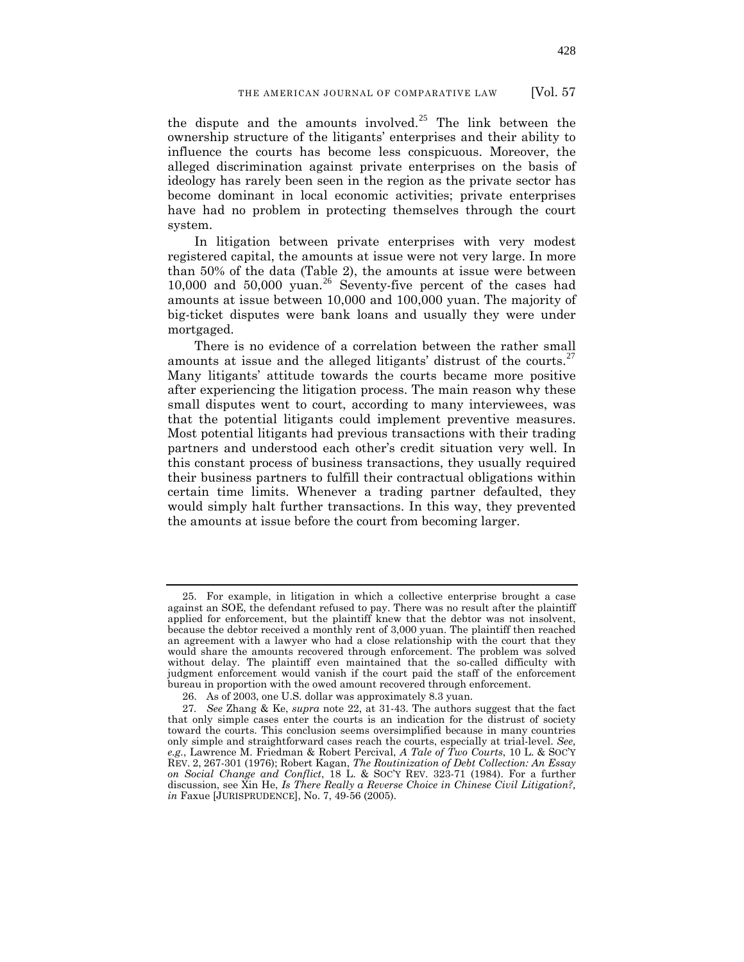the dispute and the amounts involved.<sup>[25](#page-9-0)</sup> The link between the ownership structure of the litigants' enterprises and their ability to influence the courts has become less conspicuous. Moreover, the alleged discrimination against private enterprises on the basis of ideology has rarely been seen in the region as the private sector has become dominant in local economic activities; private enterprises have had no problem in protecting themselves through the court system.

In litigation between private enterprises with very modest registered capital, the amounts at issue were not very large. In more than 50% of the data (Table 2), the amounts at issue were between 10,000 and 50,000 yuan.<sup>[26](#page-9-1)</sup> Seventy-five percent of the cases had amounts at issue between 10,000 and 100,000 yuan. The majority of big-ticket disputes were bank loans and usually they were under mortgaged.

There is no evidence of a correlation between the rather small amounts at issue and the alleged litigants' distrust of the courts.<sup>[27](#page-9-2)</sup> Many litigants' attitude towards the courts became more positive after experiencing the litigation process. The main reason why these small disputes went to court, according to many interviewees, was that the potential litigants could implement preventive measures. Most potential litigants had previous transactions with their trading partners and understood each other's credit situation very well. In this constant process of business transactions, they usually required their business partners to fulfill their contractual obligations within certain time limits. Whenever a trading partner defaulted, they would simply halt further transactions. In this way, they prevented the amounts at issue before the court from becoming larger.

<span id="page-9-0"></span> <sup>25.</sup> For example, in litigation in which a collective enterprise brought a case against an SOE, the defendant refused to pay. There was no result after the plaintiff applied for enforcement, but the plaintiff knew that the debtor was not insolvent, because the debtor received a monthly rent of 3,000 yuan. The plaintiff then reached an agreement with a lawyer who had a close relationship with the court that they would share the amounts recovered through enforcement. The problem was solved without delay. The plaintiff even maintained that the so-called difficulty with judgment enforcement would vanish if the court paid the staff of the enforcement bureau in proportion with the owed amount recovered through enforcement.

 <sup>26.</sup> As of 2003, one U.S. dollar was approximately 8.3 yuan.

<span id="page-9-2"></span><span id="page-9-1"></span><sup>27</sup>*. See* Zhang & Ke, *supra* note 22, at 31-43. The authors suggest that the fact that only simple cases enter the courts is an indication for the distrust of society toward the courts. This conclusion seems oversimplified because in many countries only simple and straightforward cases reach the courts, especially at trial-level. *See, e.g.*, Lawrence M. Friedman & Robert Percival, *A Tale of Two Courts*, 10 L. & SOC'Y REV. 2, 267-301 (1976); Robert Kagan, *The Routinization of Debt Collection: An Essay on Social Change and Conflict*, 18 L. & SOC'Y REV. 323-71 (1984). For a further discussion, see Xin He, *Is There Really a Reverse Choice in Chinese Civil Litigation?, in* Faxue [JURISPRUDENCE], No. 7, 49-56 (2005).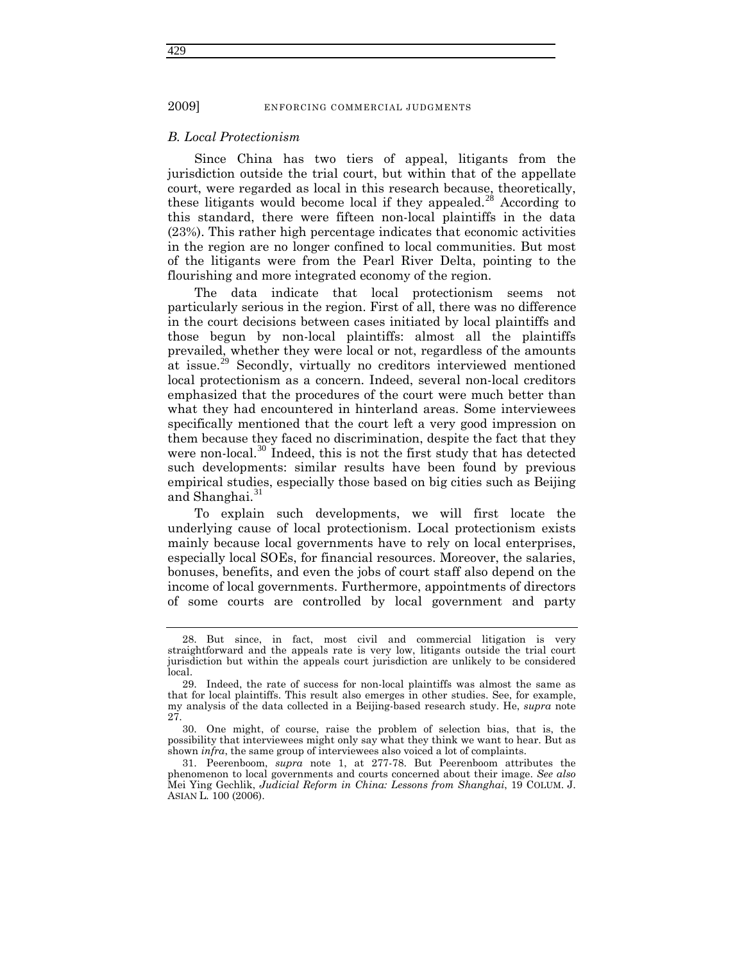#### *B. Local Protectionism*

Since China has two tiers of appeal, litigants from the jurisdiction outside the trial court, but within that of the appellate court, were regarded as local in this research because, theoretically, these litigants would become local if they appealed.<sup>[28](#page-10-0)</sup> According to this standard, there were fifteen non-local plaintiffs in the data (23%). This rather high percentage indicates that economic activities in the region are no longer confined to local communities. But most of the litigants were from the Pearl River Delta, pointing to the flourishing and more integrated economy of the region.

The data indicate that local protectionism seems not particularly serious in the region. First of all, there was no difference in the court decisions between cases initiated by local plaintiffs and those begun by non-local plaintiffs: almost all the plaintiffs prevailed, whether they were local or not, regardless of the amounts at issue.<sup>[29](#page-10-1)</sup> Secondly, virtually no creditors interviewed mentioned local protectionism as a concern. Indeed, several non-local creditors emphasized that the procedures of the court were much better than what they had encountered in hinterland areas. Some interviewees specifically mentioned that the court left a very good impression on them because they faced no discrimination, despite the fact that they were non-local.<sup>[30](#page-10-2)</sup> Indeed, this is not the first study that has detected such developments: similar results have been found by previous empirical studies, especially those based on big cities such as Beijing and Shanghai.<sup>[31](#page-10-3)</sup>

To explain such developments, we will first locate the underlying cause of local protectionism. Local protectionism exists mainly because local governments have to rely on local enterprises, especially local SOEs, for financial resources. Moreover, the salaries, bonuses, benefits, and even the jobs of court staff also depend on the income of local governments. Furthermore, appointments of directors of some courts are controlled by local government and party

429

<span id="page-10-0"></span> <sup>28.</sup> But since, in fact, most civil and commercial litigation is very straightforward and the appeals rate is very low, litigants outside the trial court jurisdiction but within the appeals court jurisdiction are unlikely to be considered local.

<span id="page-10-1"></span> <sup>29.</sup> Indeed, the rate of success for non-local plaintiffs was almost the same as that for local plaintiffs. This result also emerges in other studies. See, for example, my analysis of the data collected in a Beijing-based research study. He, *supra* note 27.

<span id="page-10-2"></span> <sup>30.</sup> One might, of course, raise the problem of selection bias, that is, the possibility that interviewees might only say what they think we want to hear. But as shown *infra*, the same group of interviewees also voiced a lot of complaints.

<span id="page-10-3"></span> <sup>31.</sup> Peerenboom, *supra* note 1, at 277-78. But Peerenboom attributes the phenomenon to local governments and courts concerned about their image. *See also*  Mei Ying Gechlik, *Judicial Reform in China: Lessons from Shanghai*, 19 COLUM. J. ASIAN L*.* 100 (2006).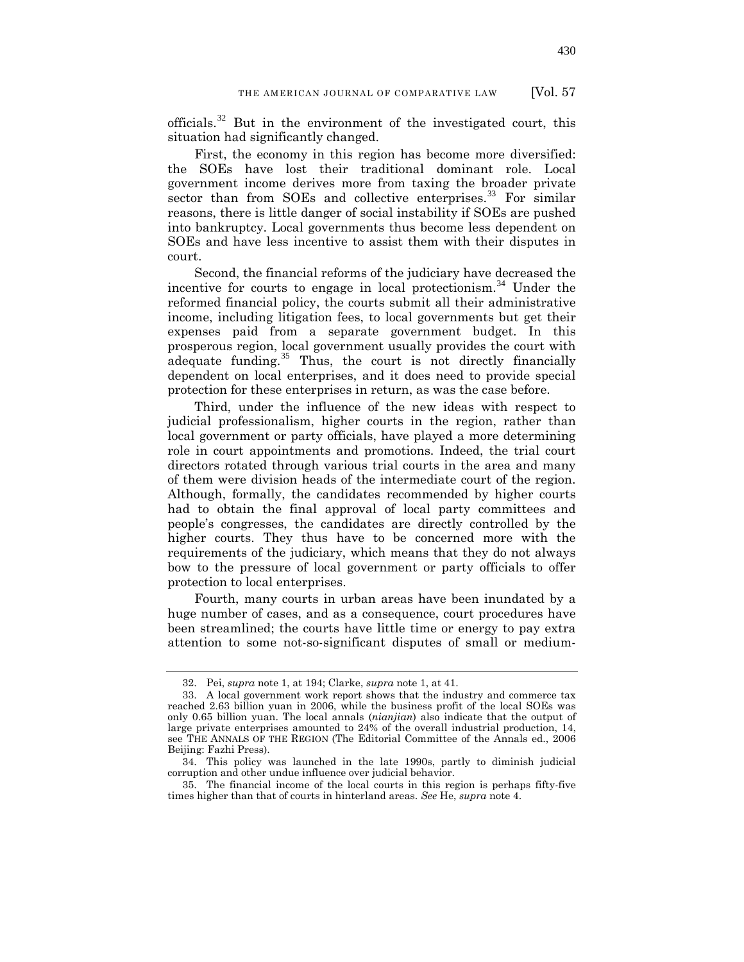officials.<sup>[32](#page-11-0)</sup> But in the environment of the investigated court, this situation had significantly changed.

First, the economy in this region has become more diversified: the SOEs have lost their traditional dominant role. Local government income derives more from taxing the broader private sector than from SOEs and collective enterprises.<sup>[33](#page-11-1)</sup> For similar reasons, there is little danger of social instability if SOEs are pushed into bankruptcy. Local governments thus become less dependent on SOEs and have less incentive to assist them with their disputes in court.

Second, the financial reforms of the judiciary have decreased the incentive for courts to engage in local protectionism.<sup>[34](#page-11-2)</sup> Under the reformed financial policy, the courts submit all their administrative income, including litigation fees, to local governments but get their expenses paid from a separate government budget. In this prosperous region, local government usually provides the court with adequate funding. $35$  Thus, the court is not directly financially dependent on local enterprises, and it does need to provide special protection for these enterprises in return, as was the case before.

Third, under the influence of the new ideas with respect to judicial professionalism, higher courts in the region, rather than local government or party officials, have played a more determining role in court appointments and promotions. Indeed, the trial court directors rotated through various trial courts in the area and many of them were division heads of the intermediate court of the region. Although, formally, the candidates recommended by higher courts had to obtain the final approval of local party committees and people's congresses, the candidates are directly controlled by the higher courts. They thus have to be concerned more with the requirements of the judiciary, which means that they do not always bow to the pressure of local government or party officials to offer protection to local enterprises.

Fourth, many courts in urban areas have been inundated by a huge number of cases, and as a consequence, court procedures have been streamlined; the courts have little time or energy to pay extra attention to some not-so-significant disputes of small or medium-

 <sup>32.</sup> Pei, *supra* note 1, at 194; Clarke, *supra* note 1, at 41.

<span id="page-11-1"></span><span id="page-11-0"></span> <sup>33.</sup> A local government work report shows that the industry and commerce tax reached 2.63 billion yuan in 2006, while the business profit of the local SOEs was only 0.65 billion yuan. The local annals (*nianjian*) also indicate that the output of large private enterprises amounted to 24% of the overall industrial production, 14, see THE ANNALS OF THE REGION (The Editorial Committee of the Annals ed., 2006 Beijing: Fazhi Press).

<span id="page-11-2"></span> <sup>34.</sup> This policy was launched in the late 1990s, partly to diminish judicial corruption and other undue influence over judicial behavior.

<span id="page-11-3"></span> <sup>35.</sup> The financial income of the local courts in this region is perhaps fifty-five times higher than that of courts in hinterland areas. *See* He, *supra* note 4.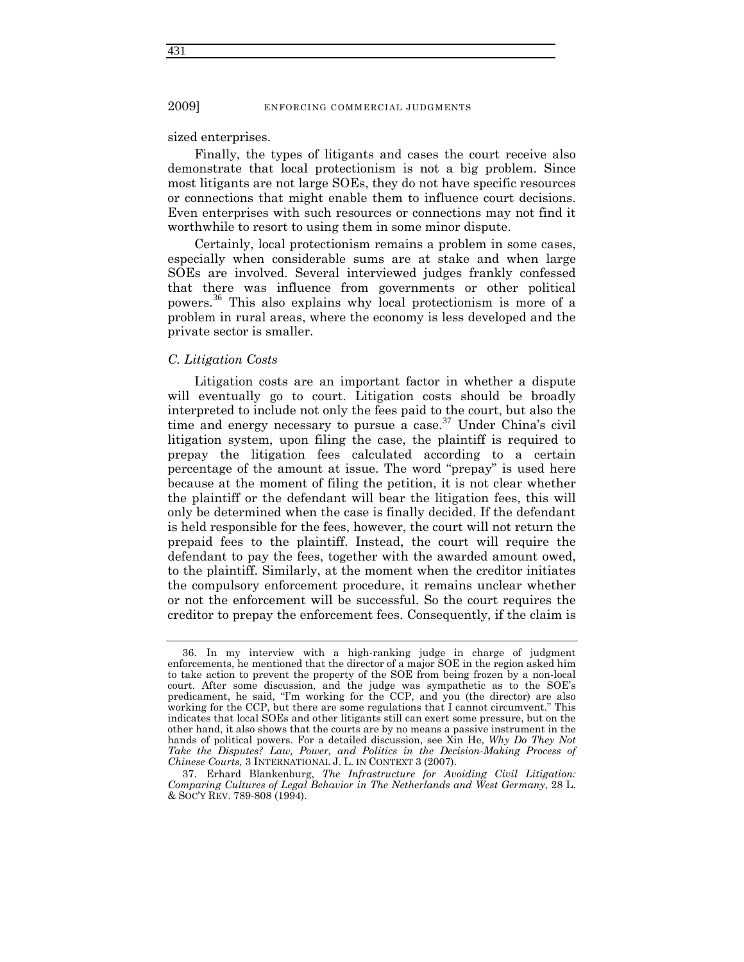#### sized enterprises.

Finally, the types of litigants and cases the court receive also demonstrate that local protectionism is not a big problem. Since most litigants are not large SOEs, they do not have specific resources or connections that might enable them to influence court decisions. Even enterprises with such resources or connections may not find it worthwhile to resort to using them in some minor dispute.

Certainly, local protectionism remains a problem in some cases, especially when considerable sums are at stake and when large SOEs are involved. Several interviewed judges frankly confessed that there was influence from governments or other political powers.[36](#page-12-0) This also explains why local protectionism is more of a problem in rural areas, where the economy is less developed and the private sector is smaller.

## *C. Litigation Costs*

Litigation costs are an important factor in whether a dispute will eventually go to court. Litigation costs should be broadly interpreted to include not only the fees paid to the court, but also the time and energy necessary to pursue a case.<sup>[37](#page-12-1)</sup> Under China's civil litigation system, upon filing the case, the plaintiff is required to prepay the litigation fees calculated according to a certain percentage of the amount at issue. The word "prepay" is used here because at the moment of filing the petition, it is not clear whether the plaintiff or the defendant will bear the litigation fees, this will only be determined when the case is finally decided. If the defendant is held responsible for the fees, however, the court will not return the prepaid fees to the plaintiff. Instead, the court will require the defendant to pay the fees, together with the awarded amount owed, to the plaintiff. Similarly, at the moment when the creditor initiates the compulsory enforcement procedure, it remains unclear whether or not the enforcement will be successful. So the court requires the creditor to prepay the enforcement fees. Consequently, if the claim is

431

<span id="page-12-0"></span> <sup>36.</sup> In my interview with a high-ranking judge in charge of judgment enforcements, he mentioned that the director of a major SOE in the region asked him to take action to prevent the property of the SOE from being frozen by a non-local court. After some discussion, and the judge was sympathetic as to the SOE's predicament, he said, "I'm working for the CCP, and you (the director) are also working for the CCP, but there are some regulations that I cannot circumvent." This indicates that local SOEs and other litigants still can exert some pressure, but on the other hand, it also shows that the courts are by no means a passive instrument in the hands of political powers. For a detailed discussion, see Xin He, *Why Do They Not Take the Disputes? Law, Power, and Politics in the Decision-Making Process of Chinese Courts,* 3 INTERNATIONAL J. L. IN CONTEXT 3 (2007).

<span id="page-12-1"></span> <sup>37.</sup> Erhard Blankenburg, *The Infrastructure for Avoiding Civil Litigation: Comparing Cultures of Legal Behavior in The Netherlands and West Germany*, 28 L. & SOC'Y REV. 789-808 (1994).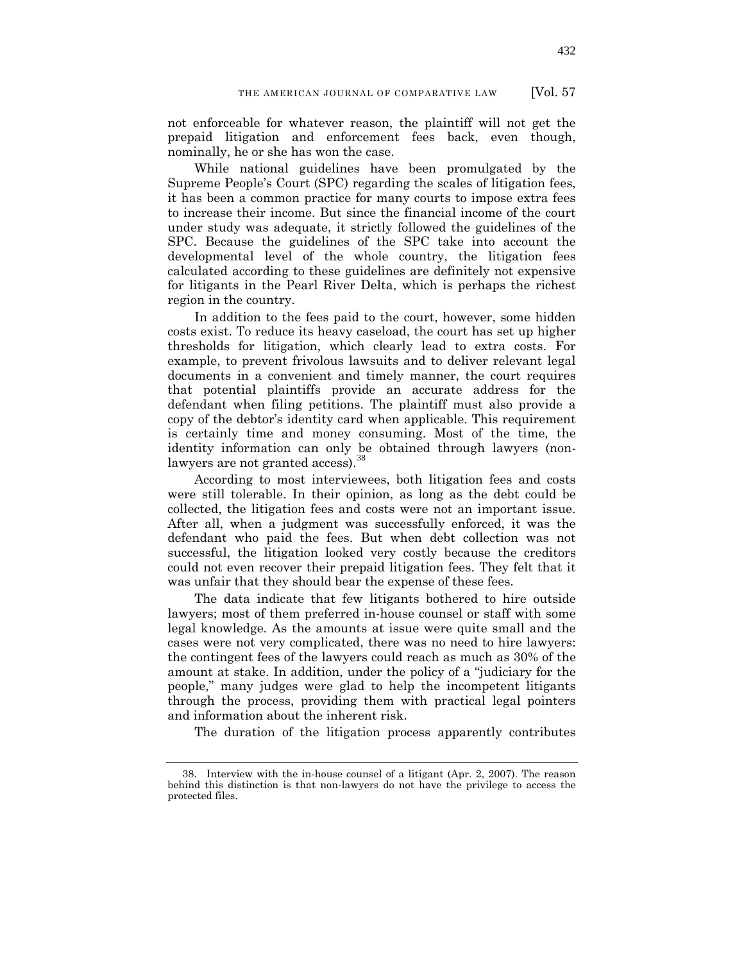not enforceable for whatever reason, the plaintiff will not get the prepaid litigation and enforcement fees back, even though, nominally, he or she has won the case.

While national guidelines have been promulgated by the Supreme People's Court (SPC) regarding the scales of litigation fees, it has been a common practice for many courts to impose extra fees to increase their income. But since the financial income of the court under study was adequate, it strictly followed the guidelines of the SPC. Because the guidelines of the SPC take into account the developmental level of the whole country, the litigation fees calculated according to these guidelines are definitely not expensive for litigants in the Pearl River Delta, which is perhaps the richest region in the country.

In addition to the fees paid to the court, however, some hidden costs exist. To reduce its heavy caseload, the court has set up higher thresholds for litigation, which clearly lead to extra costs. For example, to prevent frivolous lawsuits and to deliver relevant legal documents in a convenient and timely manner, the court requires that potential plaintiffs provide an accurate address for the defendant when filing petitions. The plaintiff must also provide a copy of the debtor's identity card when applicable. This requirement is certainly time and money consuming. Most of the time, the identity information can only be obtained through lawyers (non-lawyers are not granted access).<sup>[38](#page-13-0)</sup>

According to most interviewees, both litigation fees and costs were still tolerable. In their opinion, as long as the debt could be collected, the litigation fees and costs were not an important issue. After all, when a judgment was successfully enforced, it was the defendant who paid the fees. But when debt collection was not successful, the litigation looked very costly because the creditors could not even recover their prepaid litigation fees. They felt that it was unfair that they should bear the expense of these fees.

The data indicate that few litigants bothered to hire outside lawyers; most of them preferred in-house counsel or staff with some legal knowledge. As the amounts at issue were quite small and the cases were not very complicated, there was no need to hire lawyers: the contingent fees of the lawyers could reach as much as 30% of the amount at stake. In addition, under the policy of a "judiciary for the people," many judges were glad to help the incompetent litigants through the process, providing them with practical legal pointers and information about the inherent risk.

The duration of the litigation process apparently contributes

<span id="page-13-0"></span> <sup>38.</sup> Interview with the in-house counsel of a litigant (Apr. 2, 2007). The reason behind this distinction is that non-lawyers do not have the privilege to access the protected files.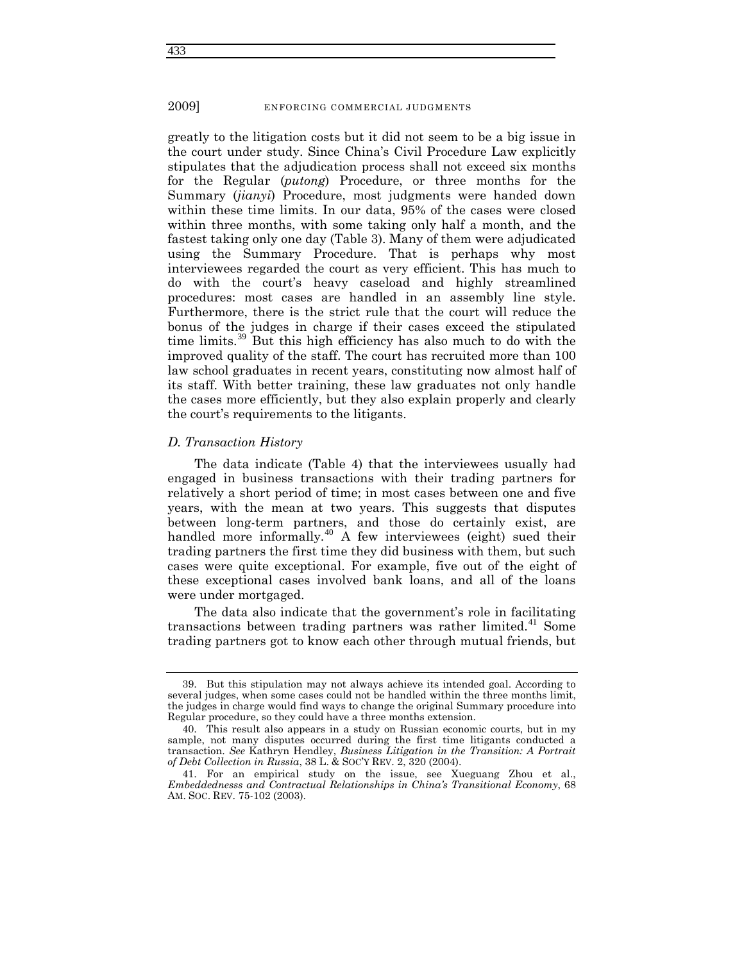greatly to the litigation costs but it did not seem to be a big issue in the court under study. Since China's Civil Procedure Law explicitly stipulates that the adjudication process shall not exceed six months for the Regular (*putong*) Procedure, or three months for the Summary (*jianyi*) Procedure, most judgments were handed down within these time limits. In our data, 95% of the cases were closed within three months, with some taking only half a month, and the fastest taking only one day (Table 3). Many of them were adjudicated using the Summary Procedure. That is perhaps why most interviewees regarded the court as very efficient. This has much to do with the court's heavy caseload and highly streamlined procedures: most cases are handled in an assembly line style. Furthermore, there is the strict rule that the court will reduce the bonus of the judges in charge if their cases exceed the stipulated time limits.[39](#page-14-0) But this high efficiency has also much to do with the improved quality of the staff. The court has recruited more than 100 law school graduates in recent years, constituting now almost half of its staff. With better training, these law graduates not only handle the cases more efficiently, but they also explain properly and clearly the court's requirements to the litigants.

#### *D. Transaction History*

The data indicate (Table 4) that the interviewees usually had engaged in business transactions with their trading partners for relatively a short period of time; in most cases between one and five years, with the mean at two years. This suggests that disputes between long-term partners, and those do certainly exist, are handled more informally.<sup>[40](#page-14-1)</sup> A few interviewees (eight) sued their trading partners the first time they did business with them, but such cases were quite exceptional. For example, five out of the eight of these exceptional cases involved bank loans, and all of the loans were under mortgaged.

The data also indicate that the government's role in facilitating transactions between trading partners was rather limited.<sup>[41](#page-14-2)</sup> Some trading partners got to know each other through mutual friends, but

<span id="page-14-0"></span> <sup>39.</sup> But this stipulation may not always achieve its intended goal. According to several judges, when some cases could not be handled within the three months limit, the judges in charge would find ways to change the original Summary procedure into Regular procedure, so they could have a three months extension.

<span id="page-14-1"></span> <sup>40.</sup> This result also appears in a study on Russian economic courts, but in my sample, not many disputes occurred during the first time litigants conducted a transaction. *See* Kathryn Hendley, *Business Litigation in the Transition: A Portrait of Debt Collection in Russia*, 38 L. & SOC'Y REV. 2, 320 (2004).

<span id="page-14-2"></span> <sup>41.</sup> For an empirical study on the issue, see Xueguang Zhou et al., *Embeddednesss and Contractual Relationships in China's Transitional Economy*, 68 AM. SOC. REV. 75-102 (2003).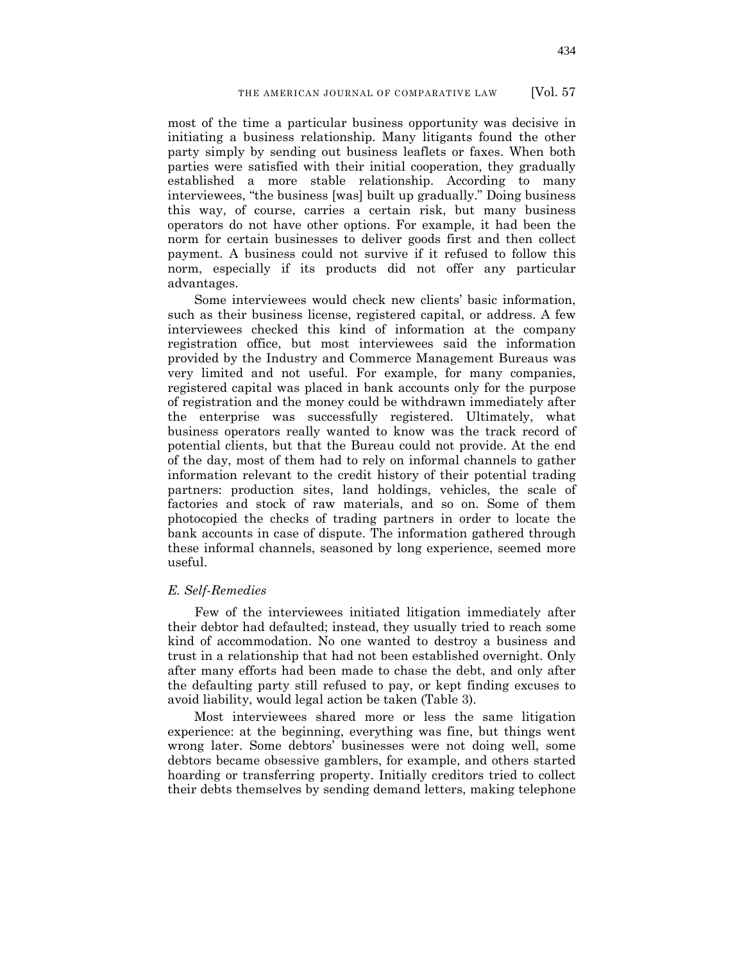most of the time a particular business opportunity was decisive in initiating a business relationship. Many litigants found the other party simply by sending out business leaflets or faxes. When both parties were satisfied with their initial cooperation, they gradually established a more stable relationship. According to many interviewees, "the business [was] built up gradually." Doing business this way, of course, carries a certain risk, but many business operators do not have other options. For example, it had been the norm for certain businesses to deliver goods first and then collect payment. A business could not survive if it refused to follow this norm, especially if its products did not offer any particular advantages.

Some interviewees would check new clients' basic information, such as their business license, registered capital, or address. A few interviewees checked this kind of information at the company registration office, but most interviewees said the information provided by the Industry and Commerce Management Bureaus was very limited and not useful. For example, for many companies, registered capital was placed in bank accounts only for the purpose of registration and the money could be withdrawn immediately after the enterprise was successfully registered. Ultimately, what business operators really wanted to know was the track record of potential clients, but that the Bureau could not provide. At the end of the day, most of them had to rely on informal channels to gather information relevant to the credit history of their potential trading partners: production sites, land holdings, vehicles, the scale of factories and stock of raw materials, and so on. Some of them photocopied the checks of trading partners in order to locate the bank accounts in case of dispute. The information gathered through these informal channels, seasoned by long experience, seemed more useful.

#### *E. Self-Remedies*

Few of the interviewees initiated litigation immediately after their debtor had defaulted; instead, they usually tried to reach some kind of accommodation. No one wanted to destroy a business and trust in a relationship that had not been established overnight. Only after many efforts had been made to chase the debt, and only after the defaulting party still refused to pay, or kept finding excuses to avoid liability, would legal action be taken (Table 3).

Most interviewees shared more or less the same litigation experience: at the beginning, everything was fine, but things went wrong later. Some debtors' businesses were not doing well, some debtors became obsessive gamblers, for example, and others started hoarding or transferring property. Initially creditors tried to collect their debts themselves by sending demand letters, making telephone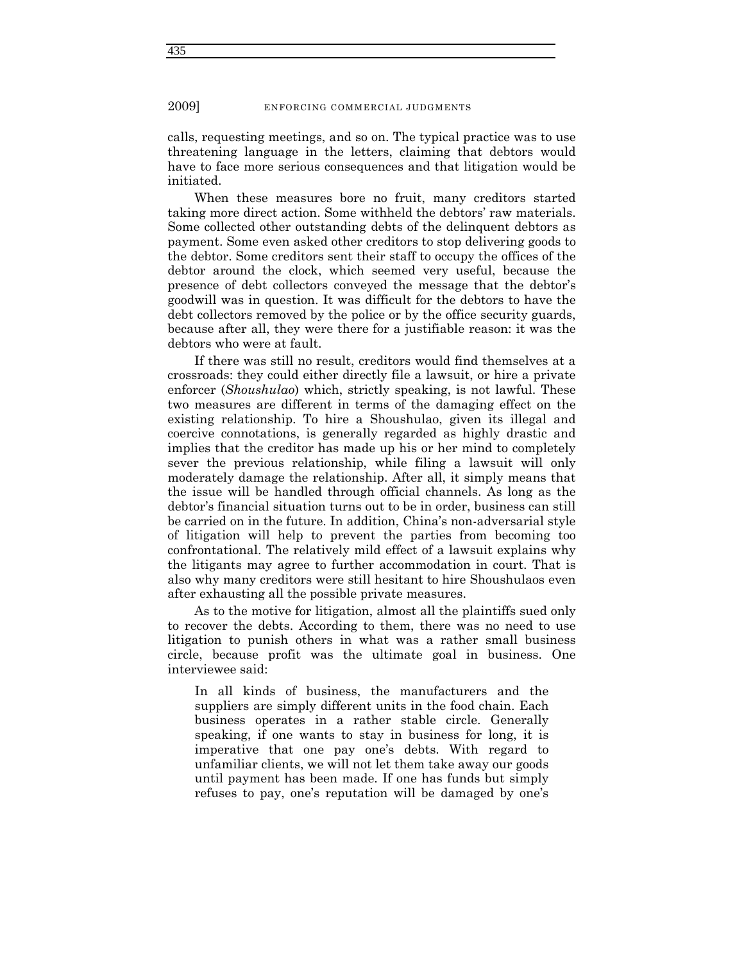calls, requesting meetings, and so on. The typical practice was to use threatening language in the letters, claiming that debtors would have to face more serious consequences and that litigation would be initiated.

When these measures bore no fruit, many creditors started taking more direct action. Some withheld the debtors' raw materials. Some collected other outstanding debts of the delinquent debtors as payment. Some even asked other creditors to stop delivering goods to the debtor. Some creditors sent their staff to occupy the offices of the debtor around the clock, which seemed very useful, because the presence of debt collectors conveyed the message that the debtor's goodwill was in question. It was difficult for the debtors to have the debt collectors removed by the police or by the office security guards, because after all, they were there for a justifiable reason: it was the debtors who were at fault.

If there was still no result, creditors would find themselves at a crossroads: they could either directly file a lawsuit, or hire a private enforcer (*Shoushulao*) which, strictly speaking, is not lawful. These two measures are different in terms of the damaging effect on the existing relationship. To hire a Shoushulao, given its illegal and coercive connotations, is generally regarded as highly drastic and implies that the creditor has made up his or her mind to completely sever the previous relationship, while filing a lawsuit will only moderately damage the relationship. After all, it simply means that the issue will be handled through official channels. As long as the debtor's financial situation turns out to be in order, business can still be carried on in the future. In addition, China's non-adversarial style of litigation will help to prevent the parties from becoming too confrontational. The relatively mild effect of a lawsuit explains why the litigants may agree to further accommodation in court. That is also why many creditors were still hesitant to hire Shoushulaos even after exhausting all the possible private measures.

As to the motive for litigation, almost all the plaintiffs sued only to recover the debts. According to them, there was no need to use litigation to punish others in what was a rather small business circle, because profit was the ultimate goal in business. One interviewee said:

In all kinds of business, the manufacturers and the suppliers are simply different units in the food chain. Each business operates in a rather stable circle. Generally speaking, if one wants to stay in business for long, it is imperative that one pay one's debts. With regard to unfamiliar clients, we will not let them take away our goods until payment has been made. If one has funds but simply refuses to pay, one's reputation will be damaged by one's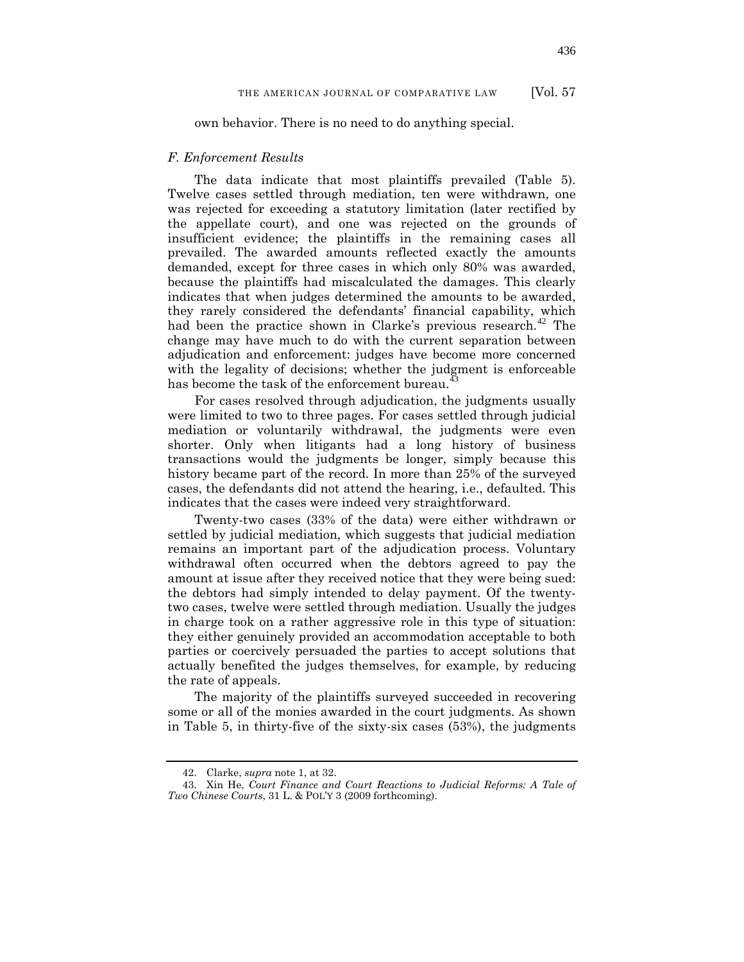own behavior. There is no need to do anything special.

#### *F. Enforcement Results*

The data indicate that most plaintiffs prevailed (Table 5). Twelve cases settled through mediation, ten were withdrawn, one was rejected for exceeding a statutory limitation (later rectified by the appellate court), and one was rejected on the grounds of insufficient evidence; the plaintiffs in the remaining cases all prevailed. The awarded amounts reflected exactly the amounts demanded, except for three cases in which only 80% was awarded, because the plaintiffs had miscalculated the damages. This clearly indicates that when judges determined the amounts to be awarded, they rarely considered the defendants' financial capability, which had been the practice shown in Clarke's previous research.<sup>[42](#page-17-0)</sup> The change may have much to do with the current separation between adjudication and enforcement: judges have become more concerned with the legality of decisions; whether the judgment is enforceable has become the task of the enforcement bureau.<sup>[43](#page-17-1)</sup>

For cases resolved through adjudication, the judgments usually were limited to two to three pages. For cases settled through judicial mediation or voluntarily withdrawal, the judgments were even shorter. Only when litigants had a long history of business transactions would the judgments be longer, simply because this history became part of the record. In more than 25% of the surveyed cases, the defendants did not attend the hearing, i.e., defaulted. This indicates that the cases were indeed very straightforward.

Twenty-two cases (33% of the data) were either withdrawn or settled by judicial mediation, which suggests that judicial mediation remains an important part of the adjudication process. Voluntary withdrawal often occurred when the debtors agreed to pay the amount at issue after they received notice that they were being sued: the debtors had simply intended to delay payment. Of the twentytwo cases, twelve were settled through mediation. Usually the judges in charge took on a rather aggressive role in this type of situation: they either genuinely provided an accommodation acceptable to both parties or coercively persuaded the parties to accept solutions that actually benefited the judges themselves, for example, by reducing the rate of appeals.

The majority of the plaintiffs surveyed succeeded in recovering some or all of the monies awarded in the court judgments. As shown in Table 5, in thirty-five of the sixty-six cases (53%), the judgments

 <sup>42.</sup> Clarke, *supra* note 1, at 32.

<span id="page-17-1"></span><span id="page-17-0"></span> <sup>43.</sup> Xin He, *Court Finance and Court Reactions to Judicial Reforms: A Tale of Two Chinese Courts*, 31 L. & POL'Y 3 (2009 forthcoming).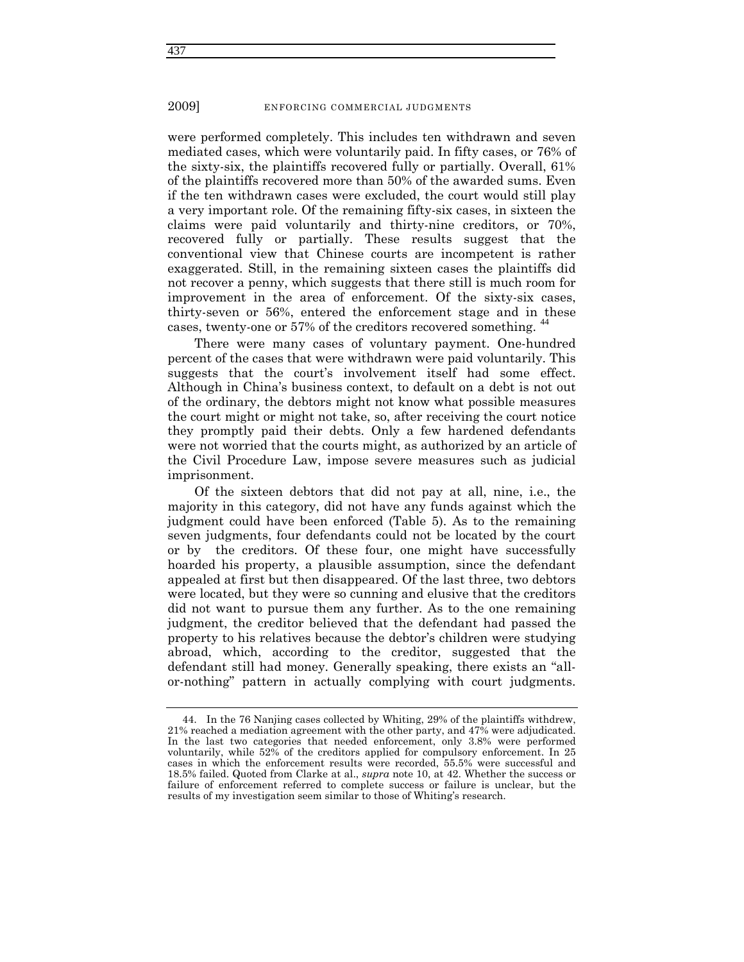were performed completely. This includes ten withdrawn and seven mediated cases, which were voluntarily paid. In fifty cases, or 76% of the sixty-six, the plaintiffs recovered fully or partially. Overall, 61% of the plaintiffs recovered more than 50% of the awarded sums. Even if the ten withdrawn cases were excluded, the court would still play a very important role. Of the remaining fifty-six cases, in sixteen the claims were paid voluntarily and thirty-nine creditors, or 70%, recovered fully or partially. These results suggest that the conventional view that Chinese courts are incompetent is rather exaggerated. Still, in the remaining sixteen cases the plaintiffs did not recover a penny, which suggests that there still is much room for improvement in the area of enforcement. Of the sixty-six cases, thirty-seven or 56%, entered the enforcement stage and in these cases, twenty-one or 57% of the creditors recovered something. [44](#page-18-0)

There were many cases of voluntary payment. One-hundred percent of the cases that were withdrawn were paid voluntarily. This suggests that the court's involvement itself had some effect. Although in China's business context, to default on a debt is not out of the ordinary, the debtors might not know what possible measures the court might or might not take, so, after receiving the court notice they promptly paid their debts. Only a few hardened defendants were not worried that the courts might, as authorized by an article of the Civil Procedure Law, impose severe measures such as judicial imprisonment.

Of the sixteen debtors that did not pay at all, nine, i.e., the majority in this category, did not have any funds against which the judgment could have been enforced (Table 5). As to the remaining seven judgments, four defendants could not be located by the court or by the creditors. Of these four, one might have successfully hoarded his property, a plausible assumption, since the defendant appealed at first but then disappeared. Of the last three, two debtors were located, but they were so cunning and elusive that the creditors did not want to pursue them any further. As to the one remaining judgment, the creditor believed that the defendant had passed the property to his relatives because the debtor's children were studying abroad, which, according to the creditor, suggested that the defendant still had money. Generally speaking, there exists an "allor-nothing" pattern in actually complying with court judgments.

<span id="page-18-0"></span> <sup>44.</sup> In the 76 Nanjing cases collected by Whiting, 29% of the plaintiffs withdrew, 21% reached a mediation agreement with the other party, and 47% were adjudicated. In the last two categories that needed enforcement, only 3.8% were performed voluntarily, while 52% of the creditors applied for compulsory enforcement. In 25 cases in which the enforcement results were recorded, 55.5% were successful and 18.5% failed. Quoted from Clarke at al., *supra* note 10, at 42. Whether the success or failure of enforcement referred to complete success or failure is unclear, but the results of my investigation seem similar to those of Whiting's research.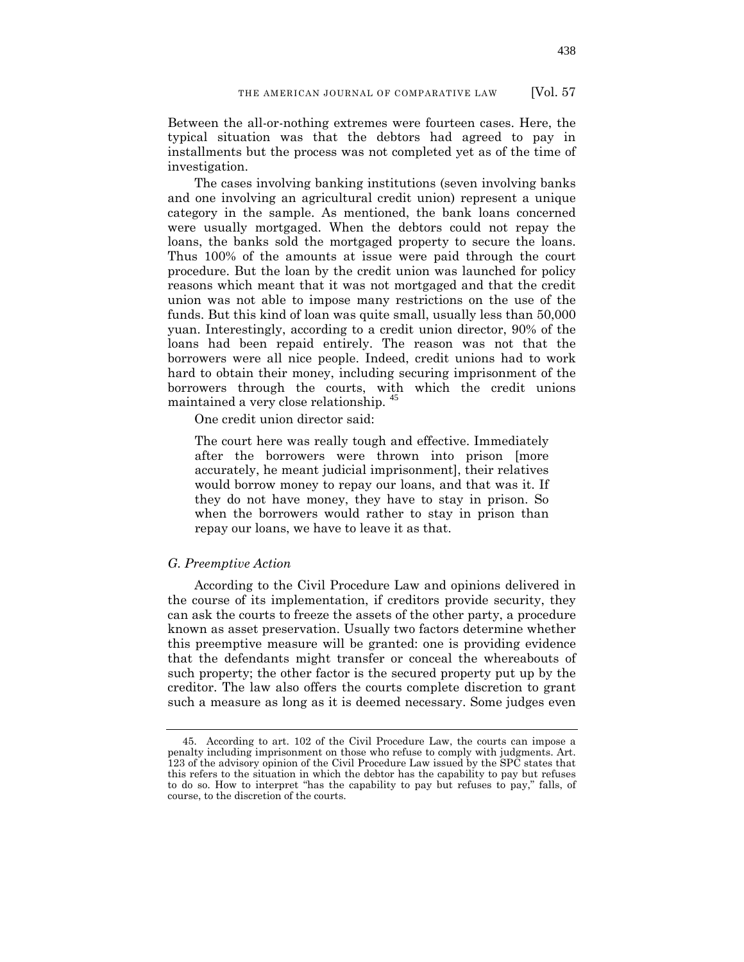Between the all-or-nothing extremes were fourteen cases. Here, the typical situation was that the debtors had agreed to pay in installments but the process was not completed yet as of the time of investigation.

The cases involving banking institutions (seven involving banks and one involving an agricultural credit union) represent a unique category in the sample. As mentioned, the bank loans concerned were usually mortgaged. When the debtors could not repay the loans, the banks sold the mortgaged property to secure the loans. Thus 100% of the amounts at issue were paid through the court procedure. But the loan by the credit union was launched for policy reasons which meant that it was not mortgaged and that the credit union was not able to impose many restrictions on the use of the funds. But this kind of loan was quite small, usually less than 50,000 yuan. Interestingly, according to a credit union director, 90% of the loans had been repaid entirely. The reason was not that the borrowers were all nice people. Indeed, credit unions had to work hard to obtain their money, including securing imprisonment of the borrowers through the courts, with which the credit unions maintained a very close relationship. [45](#page-19-0)

One credit union director said:

The court here was really tough and effective. Immediately after the borrowers were thrown into prison [more accurately, he meant judicial imprisonment], their relatives would borrow money to repay our loans, and that was it. If they do not have money, they have to stay in prison. So when the borrowers would rather to stay in prison than repay our loans, we have to leave it as that.

#### *G. Preemptive Action*

According to the Civil Procedure Law and opinions delivered in the course of its implementation, if creditors provide security, they can ask the courts to freeze the assets of the other party, a procedure known as asset preservation. Usually two factors determine whether this preemptive measure will be granted: one is providing evidence that the defendants might transfer or conceal the whereabouts of such property; the other factor is the secured property put up by the creditor. The law also offers the courts complete discretion to grant such a measure as long as it is deemed necessary. Some judges even

<span id="page-19-0"></span> <sup>45.</sup> According to art. 102 of the Civil Procedure Law, the courts can impose a penalty including imprisonment on those who refuse to comply with judgments. Art. 123 of the advisory opinion of the Civil Procedure Law issued by the SPC states that this refers to the situation in which the debtor has the capability to pay but refuses to do so. How to interpret "has the capability to pay but refuses to pay," falls, of course, to the discretion of the courts.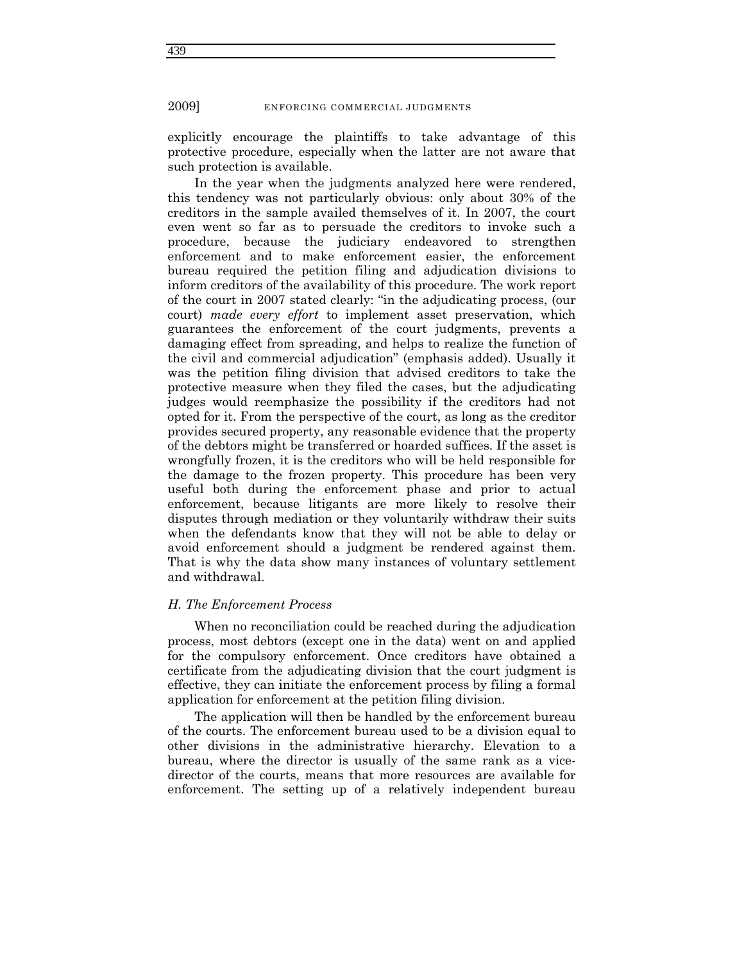explicitly encourage the plaintiffs to take advantage of this protective procedure, especially when the latter are not aware that such protection is available.

In the year when the judgments analyzed here were rendered, this tendency was not particularly obvious: only about 30% of the creditors in the sample availed themselves of it. In 2007, the court even went so far as to persuade the creditors to invoke such a procedure, because the judiciary endeavored to strengthen enforcement and to make enforcement easier, the enforcement bureau required the petition filing and adjudication divisions to inform creditors of the availability of this procedure. The work report of the court in 2007 stated clearly: "in the adjudicating process, (our court) *made every effort* to implement asset preservation, which guarantees the enforcement of the court judgments, prevents a damaging effect from spreading, and helps to realize the function of the civil and commercial adjudication" (emphasis added). Usually it was the petition filing division that advised creditors to take the protective measure when they filed the cases, but the adjudicating judges would reemphasize the possibility if the creditors had not opted for it. From the perspective of the court, as long as the creditor provides secured property, any reasonable evidence that the property of the debtors might be transferred or hoarded suffices. If the asset is wrongfully frozen, it is the creditors who will be held responsible for the damage to the frozen property. This procedure has been very useful both during the enforcement phase and prior to actual enforcement, because litigants are more likely to resolve their disputes through mediation or they voluntarily withdraw their suits when the defendants know that they will not be able to delay or avoid enforcement should a judgment be rendered against them. That is why the data show many instances of voluntary settlement and withdrawal.

#### *H. The Enforcement Process*

When no reconciliation could be reached during the adjudication process, most debtors (except one in the data) went on and applied for the compulsory enforcement. Once creditors have obtained a certificate from the adjudicating division that the court judgment is effective, they can initiate the enforcement process by filing a formal application for enforcement at the petition filing division.

The application will then be handled by the enforcement bureau of the courts. The enforcement bureau used to be a division equal to other divisions in the administrative hierarchy. Elevation to a bureau, where the director is usually of the same rank as a vicedirector of the courts, means that more resources are available for enforcement. The setting up of a relatively independent bureau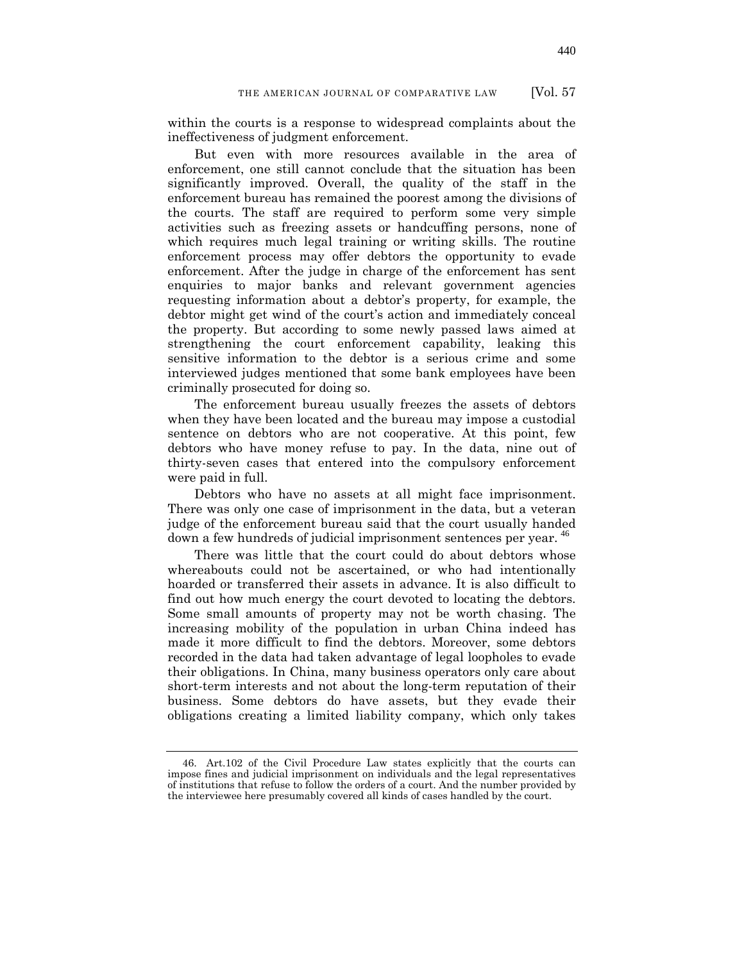within the courts is a response to widespread complaints about the ineffectiveness of judgment enforcement.

But even with more resources available in the area of enforcement, one still cannot conclude that the situation has been significantly improved. Overall, the quality of the staff in the enforcement bureau has remained the poorest among the divisions of the courts. The staff are required to perform some very simple activities such as freezing assets or handcuffing persons, none of which requires much legal training or writing skills. The routine enforcement process may offer debtors the opportunity to evade enforcement. After the judge in charge of the enforcement has sent enquiries to major banks and relevant government agencies requesting information about a debtor's property, for example, the debtor might get wind of the court's action and immediately conceal the property. But according to some newly passed laws aimed at strengthening the court enforcement capability, leaking this sensitive information to the debtor is a serious crime and some interviewed judges mentioned that some bank employees have been criminally prosecuted for doing so.

The enforcement bureau usually freezes the assets of debtors when they have been located and the bureau may impose a custodial sentence on debtors who are not cooperative. At this point, few debtors who have money refuse to pay. In the data, nine out of thirty-seven cases that entered into the compulsory enforcement were paid in full.

Debtors who have no assets at all might face imprisonment. There was only one case of imprisonment in the data, but a veteran judge of the enforcement bureau said that the court usually handed down a few hundreds of judicial imprisonment sentences per year. [46](#page-21-0)

There was little that the court could do about debtors whose whereabouts could not be ascertained, or who had intentionally hoarded or transferred their assets in advance. It is also difficult to find out how much energy the court devoted to locating the debtors. Some small amounts of property may not be worth chasing. The increasing mobility of the population in urban China indeed has made it more difficult to find the debtors. Moreover, some debtors recorded in the data had taken advantage of legal loopholes to evade their obligations. In China, many business operators only care about short-term interests and not about the long-term reputation of their business. Some debtors do have assets, but they evade their obligations creating a limited liability company, which only takes

<span id="page-21-0"></span> <sup>46.</sup> Art.102 of the Civil Procedure Law states explicitly that the courts can impose fines and judicial imprisonment on individuals and the legal representatives of institutions that refuse to follow the orders of a court. And the number provided by the interviewee here presumably covered all kinds of cases handled by the court.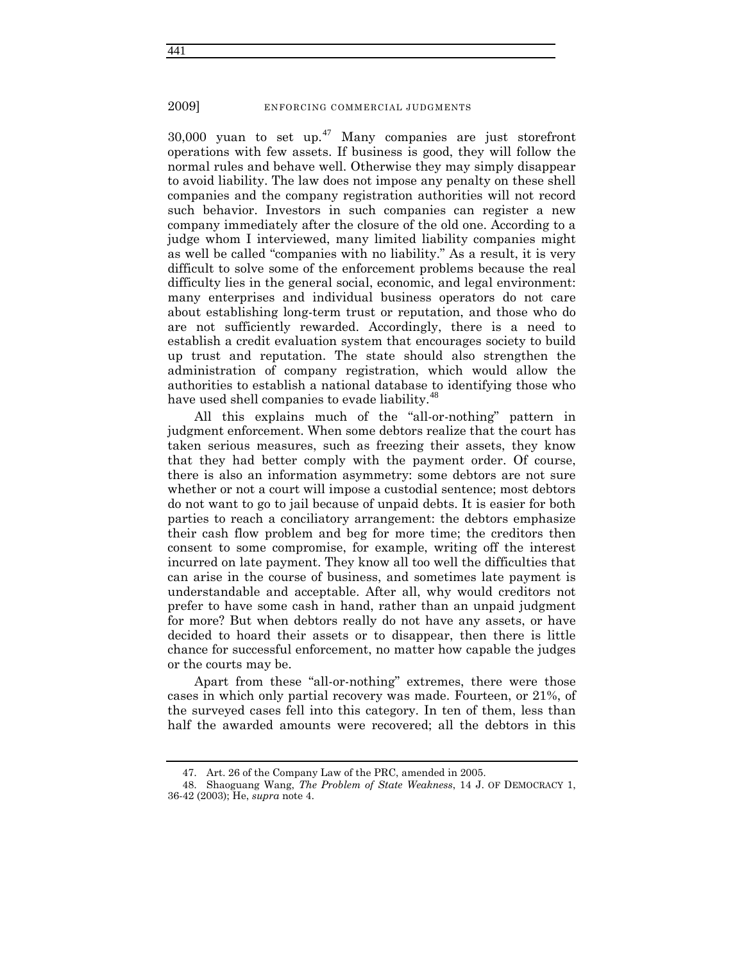30,000 yuan to set up.<sup>[47](#page-22-0)</sup> Many companies are just storefront operations with few assets. If business is good, they will follow the normal rules and behave well. Otherwise they may simply disappear to avoid liability. The law does not impose any penalty on these shell companies and the company registration authorities will not record such behavior. Investors in such companies can register a new company immediately after the closure of the old one. According to a judge whom I interviewed, many limited liability companies might as well be called "companies with no liability." As a result, it is very difficult to solve some of the enforcement problems because the real difficulty lies in the general social, economic, and legal environment: many enterprises and individual business operators do not care about establishing long-term trust or reputation, and those who do are not sufficiently rewarded. Accordingly, there is a need to establish a credit evaluation system that encourages society to build up trust and reputation. The state should also strengthen the administration of company registration, which would allow the authorities to establish a national database to identifying those who have used shell companies to evade liability.<sup>[48](#page-22-1)</sup>

All this explains much of the "all-or-nothing" pattern in judgment enforcement. When some debtors realize that the court has taken serious measures, such as freezing their assets, they know that they had better comply with the payment order. Of course, there is also an information asymmetry: some debtors are not sure whether or not a court will impose a custodial sentence; most debtors do not want to go to jail because of unpaid debts. It is easier for both parties to reach a conciliatory arrangement: the debtors emphasize their cash flow problem and beg for more time; the creditors then consent to some compromise, for example, writing off the interest incurred on late payment. They know all too well the difficulties that can arise in the course of business, and sometimes late payment is understandable and acceptable. After all, why would creditors not prefer to have some cash in hand, rather than an unpaid judgment for more? But when debtors really do not have any assets, or have decided to hoard their assets or to disappear, then there is little chance for successful enforcement, no matter how capable the judges or the courts may be.

Apart from these "all-or-nothing" extremes, there were those cases in which only partial recovery was made. Fourteen, or 21%, of the surveyed cases fell into this category. In ten of them, less than half the awarded amounts were recovered; all the debtors in this

 <sup>47.</sup> Art. 26 of the Company Law of the PRC, amended in 2005.

<span id="page-22-1"></span><span id="page-22-0"></span> <sup>48.</sup> Shaoguang Wang, *The Problem of State Weakness*, 14 J. OF DEMOCRACY 1, 36-42 (2003); He, *supra* note 4.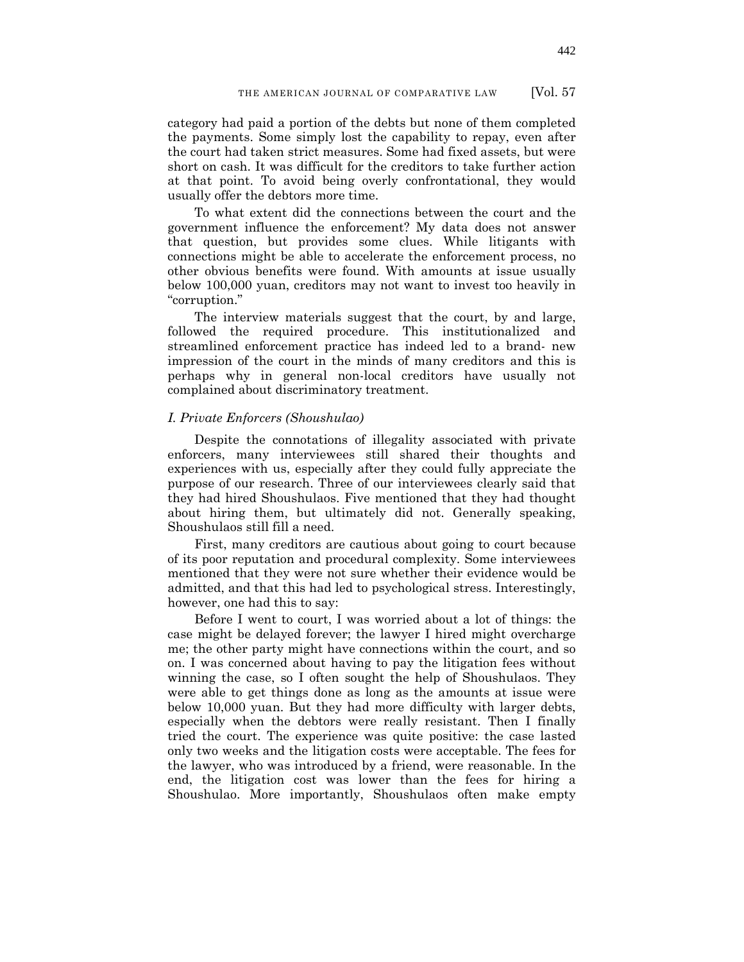category had paid a portion of the debts but none of them completed the payments. Some simply lost the capability to repay, even after the court had taken strict measures. Some had fixed assets, but were short on cash. It was difficult for the creditors to take further action at that point. To avoid being overly confrontational, they would usually offer the debtors more time.

To what extent did the connections between the court and the government influence the enforcement? My data does not answer that question, but provides some clues. While litigants with connections might be able to accelerate the enforcement process, no other obvious benefits were found. With amounts at issue usually below 100,000 yuan, creditors may not want to invest too heavily in "corruption."

The interview materials suggest that the court, by and large, followed the required procedure. This institutionalized and streamlined enforcement practice has indeed led to a brand- new impression of the court in the minds of many creditors and this is perhaps why in general non-local creditors have usually not complained about discriminatory treatment.

#### *I. Private Enforcers (Shoushulao)*

Despite the connotations of illegality associated with private enforcers, many interviewees still shared their thoughts and experiences with us, especially after they could fully appreciate the purpose of our research. Three of our interviewees clearly said that they had hired Shoushulaos. Five mentioned that they had thought about hiring them, but ultimately did not. Generally speaking, Shoushulaos still fill a need.

First, many creditors are cautious about going to court because of its poor reputation and procedural complexity. Some interviewees mentioned that they were not sure whether their evidence would be admitted, and that this had led to psychological stress. Interestingly, however, one had this to say:

Before I went to court, I was worried about a lot of things: the case might be delayed forever; the lawyer I hired might overcharge me; the other party might have connections within the court, and so on. I was concerned about having to pay the litigation fees without winning the case, so I often sought the help of Shoushulaos. They were able to get things done as long as the amounts at issue were below 10,000 yuan. But they had more difficulty with larger debts, especially when the debtors were really resistant. Then I finally tried the court. The experience was quite positive: the case lasted only two weeks and the litigation costs were acceptable. The fees for the lawyer, who was introduced by a friend, were reasonable. In the end, the litigation cost was lower than the fees for hiring a Shoushulao. More importantly, Shoushulaos often make empty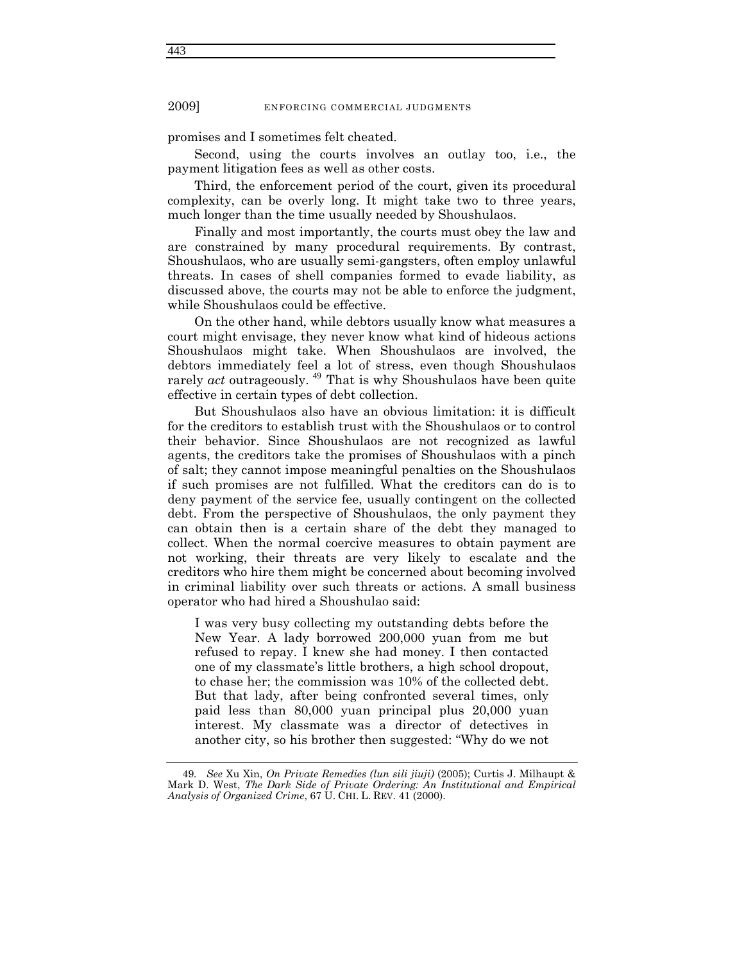promises and I sometimes felt cheated.

Second, using the courts involves an outlay too, i.e., the payment litigation fees as well as other costs.

Third, the enforcement period of the court, given its procedural complexity, can be overly long. It might take two to three years, much longer than the time usually needed by Shoushulaos.

Finally and most importantly, the courts must obey the law and are constrained by many procedural requirements. By contrast, Shoushulaos, who are usually semi-gangsters, often employ unlawful threats. In cases of shell companies formed to evade liability, as discussed above, the courts may not be able to enforce the judgment, while Shoushulaos could be effective.

On the other hand, while debtors usually know what measures a court might envisage, they never know what kind of hideous actions Shoushulaos might take. When Shoushulaos are involved, the debtors immediately feel a lot of stress, even though Shoushulaos rarely *act* outrageously.<sup>[49](#page-24-0)</sup> That is why Shoushulaos have been quite effective in certain types of debt collection.

But Shoushulaos also have an obvious limitation: it is difficult for the creditors to establish trust with the Shoushulaos or to control their behavior. Since Shoushulaos are not recognized as lawful agents, the creditors take the promises of Shoushulaos with a pinch of salt; they cannot impose meaningful penalties on the Shoushulaos if such promises are not fulfilled. What the creditors can do is to deny payment of the service fee, usually contingent on the collected debt. From the perspective of Shoushulaos, the only payment they can obtain then is a certain share of the debt they managed to collect. When the normal coercive measures to obtain payment are not working, their threats are very likely to escalate and the creditors who hire them might be concerned about becoming involved in criminal liability over such threats or actions. A small business operator who had hired a Shoushulao said:

I was very busy collecting my outstanding debts before the New Year. A lady borrowed 200,000 yuan from me but refused to repay. I knew she had money. I then contacted one of my classmate's little brothers, a high school dropout, to chase her; the commission was 10% of the collected debt. But that lady, after being confronted several times, only paid less than 80,000 yuan principal plus 20,000 yuan interest. My classmate was a director of detectives in another city, so his brother then suggested: "Why do we not

443

<span id="page-24-0"></span><sup>49</sup>*. See* Xu Xin, *On Private Remedies (lun sili jiuji)* (2005); Curtis J. Milhaupt & Mark D. West, *The Dark Side of Private Ordering: An Institutional and Empirical Analysis of Organized Crime*, 67 U. CHI. L. REV. 41 (2000).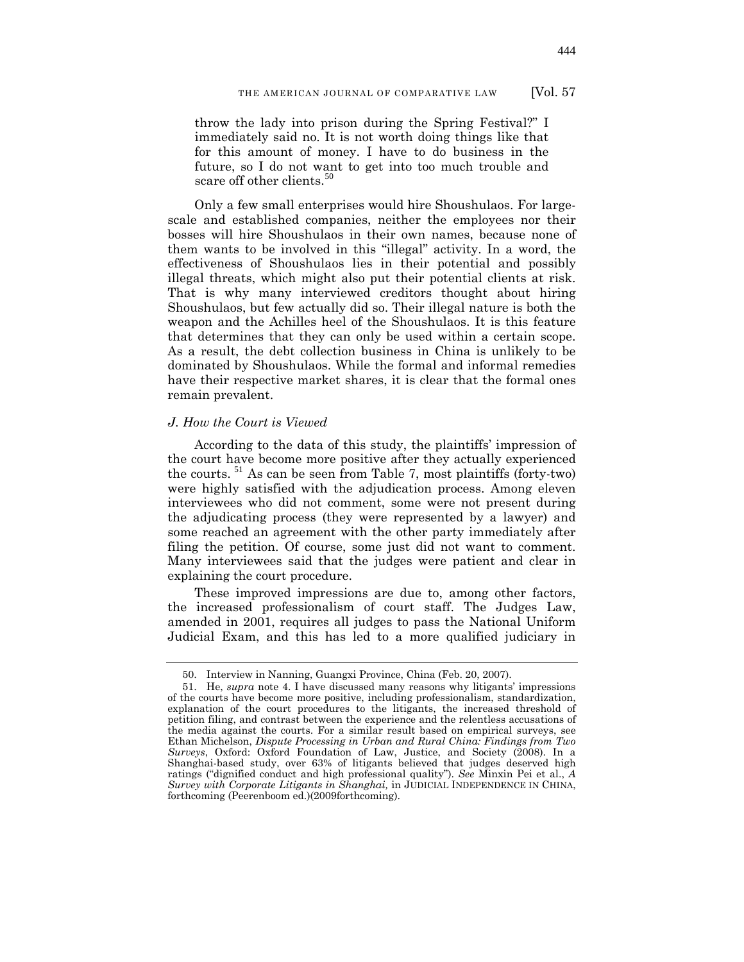throw the lady into prison during the Spring Festival?" I immediately said no. It is not worth doing things like that for this amount of money. I have to do business in the future, so I do not want to get into too much trouble and scare off other clients.<sup>[50](#page-25-0)</sup>

Only a few small enterprises would hire Shoushulaos. For largescale and established companies, neither the employees nor their bosses will hire Shoushulaos in their own names, because none of them wants to be involved in this "illegal" activity. In a word, the effectiveness of Shoushulaos lies in their potential and possibly illegal threats, which might also put their potential clients at risk. That is why many interviewed creditors thought about hiring Shoushulaos, but few actually did so. Their illegal nature is both the weapon and the Achilles heel of the Shoushulaos. It is this feature that determines that they can only be used within a certain scope. As a result, the debt collection business in China is unlikely to be dominated by Shoushulaos. While the formal and informal remedies have their respective market shares, it is clear that the formal ones remain prevalent.

#### *J. How the Court is Viewed*

According to the data of this study, the plaintiffs' impression of the court have become more positive after they actually experienced the courts. [51](#page-25-1) As can be seen from Table 7, most plaintiffs (forty-two) were highly satisfied with the adjudication process. Among eleven interviewees who did not comment, some were not present during the adjudicating process (they were represented by a lawyer) and some reached an agreement with the other party immediately after filing the petition. Of course, some just did not want to comment. Many interviewees said that the judges were patient and clear in explaining the court procedure.

These improved impressions are due to, among other factors, the increased professionalism of court staff. The Judges Law, amended in 2001, requires all judges to pass the National Uniform Judicial Exam, and this has led to a more qualified judiciary in

 <sup>50.</sup> Interview in Nanning, Guangxi Province, China (Feb. 20, 2007).

<span id="page-25-1"></span><span id="page-25-0"></span> <sup>51.</sup> He, *supra* note 4. I have discussed many reasons why litigants' impressions of the courts have become more positive, including professionalism, standardization, explanation of the court procedures to the litigants, the increased threshold of petition filing, and contrast between the experience and the relentless accusations of the media against the courts. For a similar result based on empirical surveys, see Ethan Michelson, *Dispute Processing in Urban and Rural China: Findings from Two Surveys*, Oxford: Oxford Foundation of Law, Justice, and Society (2008). In a Shanghai-based study, over 63% of litigants believed that judges deserved high ratings ("dignified conduct and high professional quality"). *See* Minxin Pei et al., *A Survey with Corporate Litigants in Shanghai,* in JUDICIAL INDEPENDENCE IN CHINA, forthcoming (Peerenboom ed.)(2009forthcoming).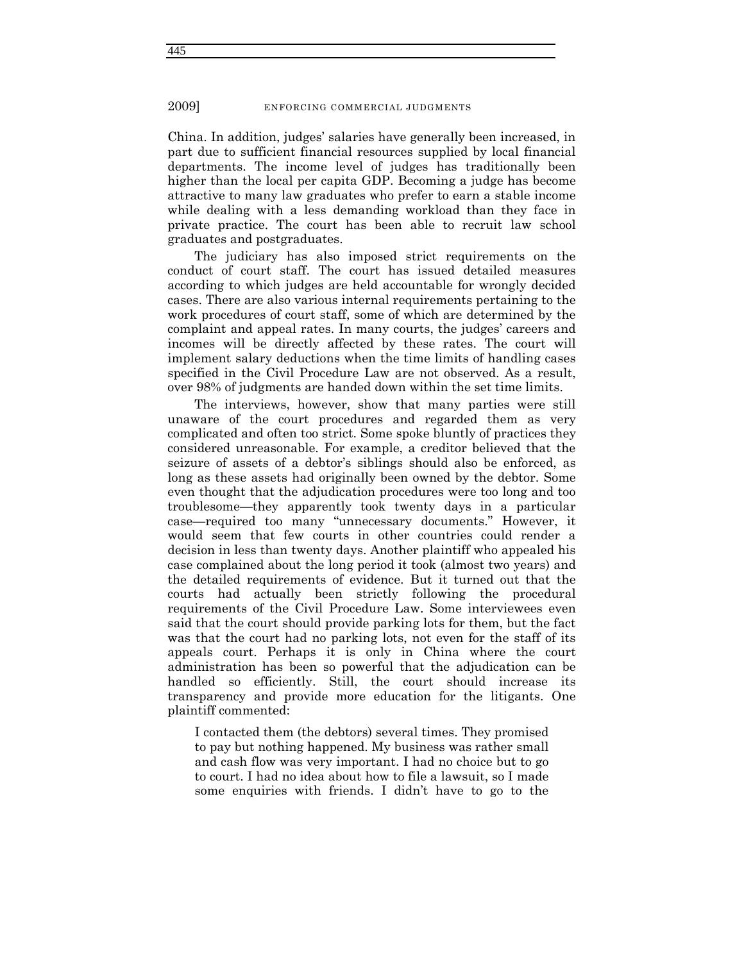China. In addition, judges' salaries have generally been increased, in part due to sufficient financial resources supplied by local financial departments. The income level of judges has traditionally been higher than the local per capita GDP. Becoming a judge has become attractive to many law graduates who prefer to earn a stable income while dealing with a less demanding workload than they face in private practice. The court has been able to recruit law school graduates and postgraduates.

The judiciary has also imposed strict requirements on the conduct of court staff. The court has issued detailed measures according to which judges are held accountable for wrongly decided cases. There are also various internal requirements pertaining to the work procedures of court staff, some of which are determined by the complaint and appeal rates. In many courts, the judges' careers and incomes will be directly affected by these rates. The court will implement salary deductions when the time limits of handling cases specified in the Civil Procedure Law are not observed. As a result, over 98% of judgments are handed down within the set time limits.

The interviews, however, show that many parties were still unaware of the court procedures and regarded them as very complicated and often too strict. Some spoke bluntly of practices they considered unreasonable. For example, a creditor believed that the seizure of assets of a debtor's siblings should also be enforced, as long as these assets had originally been owned by the debtor. Some even thought that the adjudication procedures were too long and too troublesome—they apparently took twenty days in a particular case—required too many "unnecessary documents." However, it would seem that few courts in other countries could render a decision in less than twenty days. Another plaintiff who appealed his case complained about the long period it took (almost two years) and the detailed requirements of evidence. But it turned out that the courts had actually been strictly following the procedural requirements of the Civil Procedure Law. Some interviewees even said that the court should provide parking lots for them, but the fact was that the court had no parking lots, not even for the staff of its appeals court. Perhaps it is only in China where the court administration has been so powerful that the adjudication can be handled so efficiently. Still, the court should increase its transparency and provide more education for the litigants. One plaintiff commented:

I contacted them (the debtors) several times. They promised to pay but nothing happened. My business was rather small and cash flow was very important. I had no choice but to go to court. I had no idea about how to file a lawsuit, so I made some enquiries with friends. I didn't have to go to the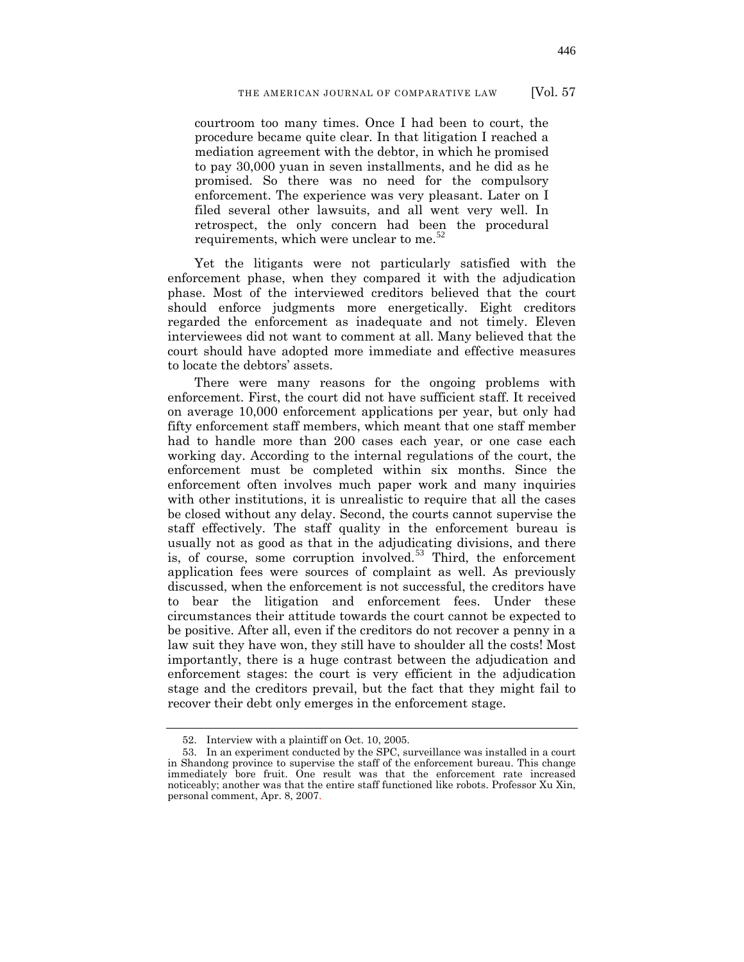courtroom too many times. Once I had been to court, the procedure became quite clear. In that litigation I reached a mediation agreement with the debtor, in which he promised to pay 30,000 yuan in seven installments, and he did as he promised. So there was no need for the compulsory enforcement. The experience was very pleasant. Later on I filed several other lawsuits, and all went very well. In retrospect, the only concern had been the procedural requirements, which were unclear to me.<sup>[52](#page-27-0)</sup>

Yet the litigants were not particularly satisfied with the enforcement phase, when they compared it with the adjudication phase. Most of the interviewed creditors believed that the court should enforce judgments more energetically. Eight creditors regarded the enforcement as inadequate and not timely. Eleven interviewees did not want to comment at all. Many believed that the court should have adopted more immediate and effective measures to locate the debtors' assets.

There were many reasons for the ongoing problems with enforcement. First, the court did not have sufficient staff. It received on average 10,000 enforcement applications per year, but only had fifty enforcement staff members, which meant that one staff member had to handle more than 200 cases each year, or one case each working day. According to the internal regulations of the court, the enforcement must be completed within six months. Since the enforcement often involves much paper work and many inquiries with other institutions, it is unrealistic to require that all the cases be closed without any delay. Second, the courts cannot supervise the staff effectively. The staff quality in the enforcement bureau is usually not as good as that in the adjudicating divisions, and there is, of course, some corruption involved. $53$  Third, the enforcement application fees were sources of complaint as well. As previously discussed, when the enforcement is not successful, the creditors have to bear the litigation and enforcement fees. Under these circumstances their attitude towards the court cannot be expected to be positive. After all, even if the creditors do not recover a penny in a law suit they have won, they still have to shoulder all the costs! Most importantly, there is a huge contrast between the adjudication and enforcement stages: the court is very efficient in the adjudication stage and the creditors prevail, but the fact that they might fail to recover their debt only emerges in the enforcement stage.

 <sup>52.</sup> Interview with a plaintiff on Oct. 10, 2005.

<span id="page-27-1"></span><span id="page-27-0"></span> <sup>53.</sup> In an experiment conducted by the SPC, surveillance was installed in a court in Shandong province to supervise the staff of the enforcement bureau. This change immediately bore fruit. One result was that the enforcement rate increased noticeably; another was that the entire staff functioned like robots. Professor Xu Xin, personal comment, Apr. 8, 2007.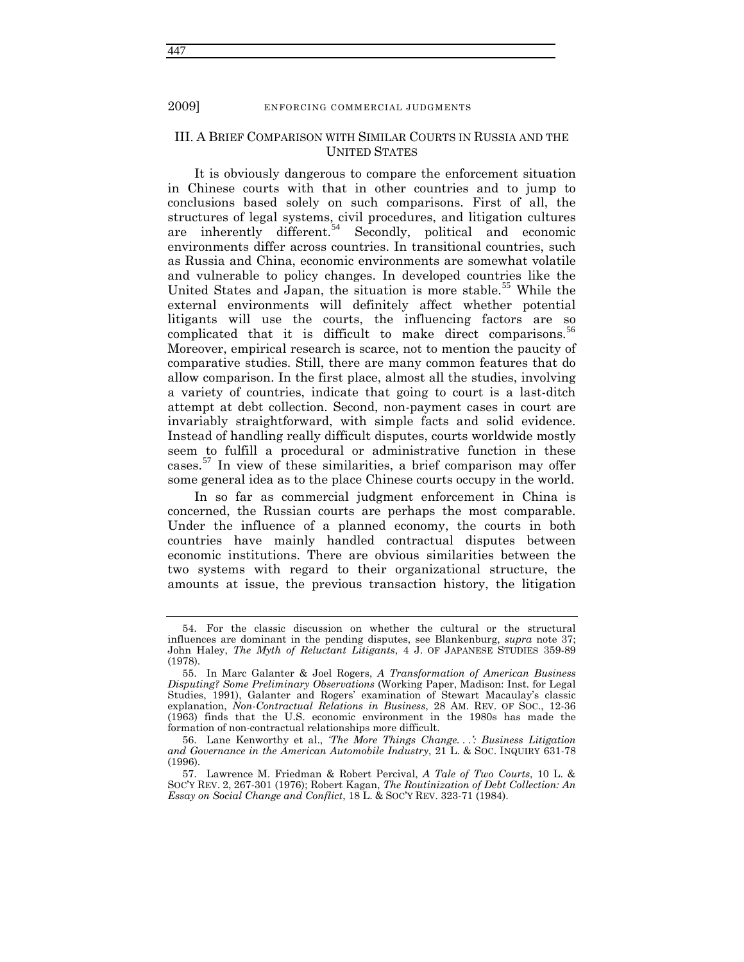## III. A BRIEF COMPARISON WITH SIMILAR COURTS IN RUSSIA AND THE UNITED STATES

It is obviously dangerous to compare the enforcement situation in Chinese courts with that in other countries and to jump to conclusions based solely on such comparisons. First of all, the structures of legal systems, civil procedures, and litigation cultures are inherently different.<sup>[54](#page-28-0)</sup> Secondly, political and economic environments differ across countries. In transitional countries, such as Russia and China, economic environments are somewhat volatile and vulnerable to policy changes. In developed countries like the United States and Japan, the situation is more stable.<sup>[55](#page-28-1)</sup> While the external environments will definitely affect whether potential litigants will use the courts, the influencing factors are so complicated that it is difficult to make direct comparisons.<sup>[56](#page-28-2)</sup> Moreover, empirical research is scarce, not to mention the paucity of comparative studies. Still, there are many common features that do allow comparison. In the first place, almost all the studies, involving a variety of countries, indicate that going to court is a last-ditch attempt at debt collection. Second, non-payment cases in court are invariably straightforward, with simple facts and solid evidence. Instead of handling really difficult disputes, courts worldwide mostly seem to fulfill a procedural or administrative function in these cases.<sup>[57](#page-28-3)</sup> In view of these similarities, a brief comparison may offer some general idea as to the place Chinese courts occupy in the world.

In so far as commercial judgment enforcement in China is concerned, the Russian courts are perhaps the most comparable. Under the influence of a planned economy, the courts in both countries have mainly handled contractual disputes between economic institutions. There are obvious similarities between the two systems with regard to their organizational structure, the amounts at issue, the previous transaction history, the litigation

<span id="page-28-0"></span> <sup>54.</sup> For the classic discussion on whether the cultural or the structural influences are dominant in the pending disputes, see Blankenburg, *supra* note 37; John Haley, *The Myth of Reluctant Litigants*, 4 J. OF JAPANESE STUDIES 359-89 (1978).

<span id="page-28-1"></span> <sup>55.</sup> In Marc Galanter & Joel Rogers, *A Transformation of American Business Disputing? Some Preliminary Observations* (Working Paper, Madison: Inst. for Legal Studies, 1991), Galanter and Rogers' examination of Stewart Macaulay's classic explanation, *Non-Contractual Relations in Business*, 28 AM. REV. OF SOC., 12-36 (1963) finds that the U.S. economic environment in the 1980s has made the formation of non-contractual relationships more difficult.

<span id="page-28-2"></span> <sup>56.</sup> Lane Kenworthy et al., *'The More Things Change. . .': Business Litigation and Governance in the American Automobile Industry*, 21 L. & SOC. INQUIRY 631-78 (1996).

<span id="page-28-3"></span> <sup>57.</sup> Lawrence M. Friedman & Robert Percival, *A Tale of Two Courts*, 10 L. & SOC'Y REV. 2, 267-301 (1976); Robert Kagan, *The Routinization of Debt Collection: An Essay on Social Change and Conflict*, 18 L. & SOC'Y REV. 323-71 (1984).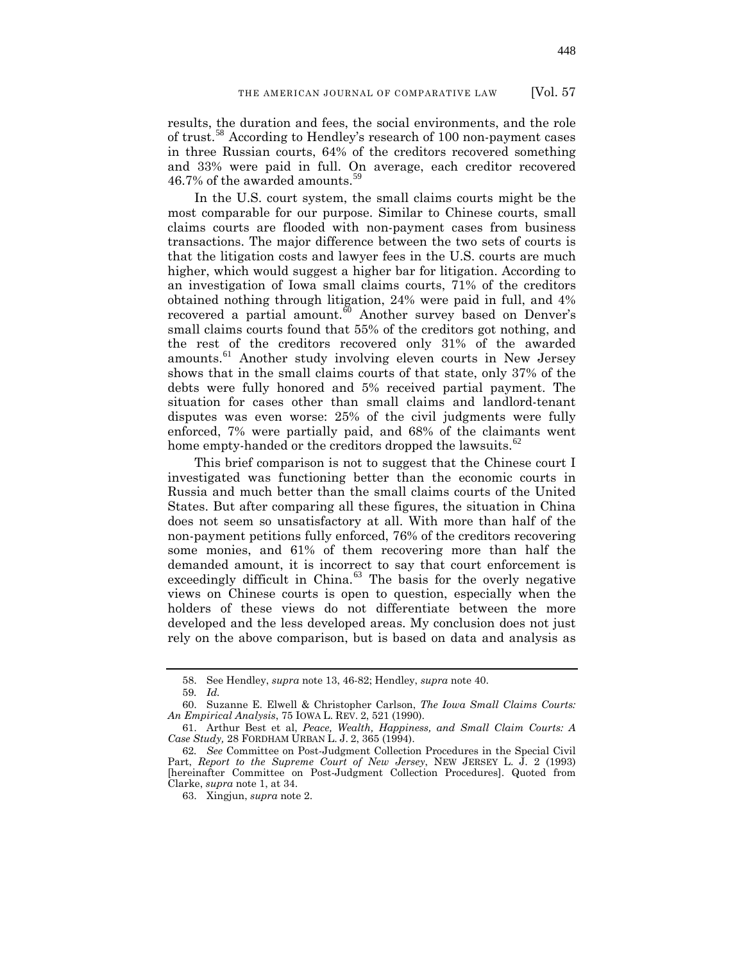results, the duration and fees, the social environments, and the role of trust.[58](#page-29-0) According to Hendley's research of 100 non-payment cases in three Russian courts, 64% of the creditors recovered something and 33% were paid in full. On average, each creditor recovered 46.7% of the awarded amounts.<sup>[59](#page-29-1)</sup>

In the U.S. court system, the small claims courts might be the most comparable for our purpose. Similar to Chinese courts, small claims courts are flooded with non-payment cases from business transactions. The major difference between the two sets of courts is that the litigation costs and lawyer fees in the U.S. courts are much higher, which would suggest a higher bar for litigation. According to an investigation of Iowa small claims courts, 71% of the creditors obtained nothing through litigation, 24% were paid in full, and 4% recovered a partial amount.<sup>[60](#page-29-2)</sup> Another survey based on Denver's small claims courts found that 55% of the creditors got nothing, and the rest of the creditors recovered only 31% of the awarded amounts.[61](#page-29-3) Another study involving eleven courts in New Jersey shows that in the small claims courts of that state, only 37% of the debts were fully honored and 5% received partial payment. The situation for cases other than small claims and landlord-tenant disputes was even worse: 25% of the civil judgments were fully enforced, 7% were partially paid, and 68% of the claimants went home empty-handed or the creditors dropped the lawsuits.<sup>[62](#page-29-4)</sup>

This brief comparison is not to suggest that the Chinese court I investigated was functioning better than the economic courts in Russia and much better than the small claims courts of the United States. But after comparing all these figures, the situation in China does not seem so unsatisfactory at all. With more than half of the non-payment petitions fully enforced, 76% of the creditors recovering some monies, and 61% of them recovering more than half the demanded amount, it is incorrect to say that court enforcement is exceedingly difficult in China. $^{63}$  $^{63}$  $^{63}$  The basis for the overly negative views on Chinese courts is open to question, especially when the holders of these views do not differentiate between the more developed and the less developed areas. My conclusion does not just rely on the above comparison, but is based on data and analysis as

 <sup>58.</sup> See Hendley, *supra* note 13, 46-82; Hendley, *supra* note 40.

<sup>59</sup>*. Id.*

<span id="page-29-2"></span><span id="page-29-1"></span><span id="page-29-0"></span> <sup>60.</sup> Suzanne E. Elwell & Christopher Carlson, *The Iowa Small Claims Courts: An Empirical Analysis*, 75 IOWA L. REV. 2, 521 (1990).

<span id="page-29-3"></span> <sup>61.</sup> Arthur Best et al, *Peace, Wealth, Happiness, and Small Claim Courts: A Case Study,* 28 FORDHAM URBAN L. J. 2, 365 (1994).

<span id="page-29-5"></span><span id="page-29-4"></span><sup>62</sup>*. See* Committee on Post-Judgment Collection Procedures in the Special Civil Part, *Report to the Supreme Court of New Jersey*, NEW JERSEY L. J. 2 (1993) [hereinafter Committee on Post-Judgment Collection Procedures]. Quoted from Clarke, *supra* note 1, at 34.

 <sup>63.</sup> Xingjun, *supra* note 2.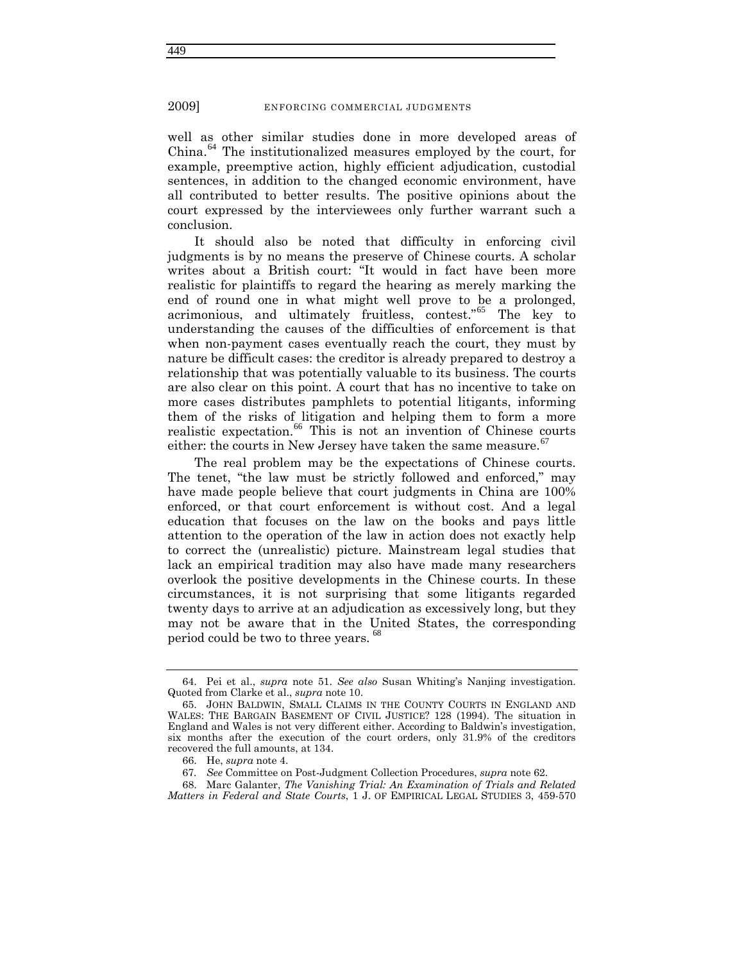well as other similar studies done in more developed areas of China. $^{64}$  $^{64}$  $^{64}$  The institutionalized measures employed by the court, for example, preemptive action, highly efficient adjudication, custodial sentences, in addition to the changed economic environment, have all contributed to better results. The positive opinions about the court expressed by the interviewees only further warrant such a conclusion.

It should also be noted that difficulty in enforcing civil judgments is by no means the preserve of Chinese courts. A scholar writes about a British court: "It would in fact have been more realistic for plaintiffs to regard the hearing as merely marking the end of round one in what might well prove to be a prolonged, acrimonious, and ultimately fruitless, contest."[65](#page-30-1) The key to understanding the causes of the difficulties of enforcement is that when non-payment cases eventually reach the court, they must by nature be difficult cases: the creditor is already prepared to destroy a relationship that was potentially valuable to its business. The courts are also clear on this point. A court that has no incentive to take on more cases distributes pamphlets to potential litigants, informing them of the risks of litigation and helping them to form a more realistic expectation.<sup>[66](#page-30-2)</sup> This is not an invention of Chinese courts either: the courts in New Jersey have taken the same measure. $\degree$ 

The real problem may be the expectations of Chinese courts. The tenet, "the law must be strictly followed and enforced," may have made people believe that court judgments in China are 100% enforced, or that court enforcement is without cost. And a legal education that focuses on the law on the books and pays little attention to the operation of the law in action does not exactly help to correct the (unrealistic) picture. Mainstream legal studies that lack an empirical tradition may also have made many researchers overlook the positive developments in the Chinese courts. In these circumstances, it is not surprising that some litigants regarded twenty days to arrive at an adjudication as excessively long, but they may not be aware that in the United States, the corresponding period could be two to three years.<sup>88</sup>

449

 <sup>64.</sup> Pei et al., *supra* note 51. *See also* Susan Whiting's Nanjing investigation. Quoted from Clarke et al., *supra* note 10.

<span id="page-30-1"></span><span id="page-30-0"></span> <sup>65.</sup> JOHN BALDWIN, SMALL CLAIMS IN THE COUNTY COURTS IN ENGLAND AND WALES: THE BARGAIN BASEMENT OF CIVIL JUSTICE? 128 (1994). The situation in England and Wales is not very different either. According to Baldwin's investigation, six months after the execution of the court orders, only 31.9% of the creditors recovered the full amounts, at 134.

 <sup>66.</sup> He, *supra* note 4.

<sup>67</sup>*. See* Committee on Post-Judgment Collection Procedures, *supra* note 62.

<span id="page-30-4"></span><span id="page-30-3"></span><span id="page-30-2"></span> <sup>68.</sup> Marc Galanter, *The Vanishing Trial: An Examination of Trials and Related Matters in Federal and State Courts*, 1 J. OF EMPIRICAL LEGAL STUDIES 3, 459-570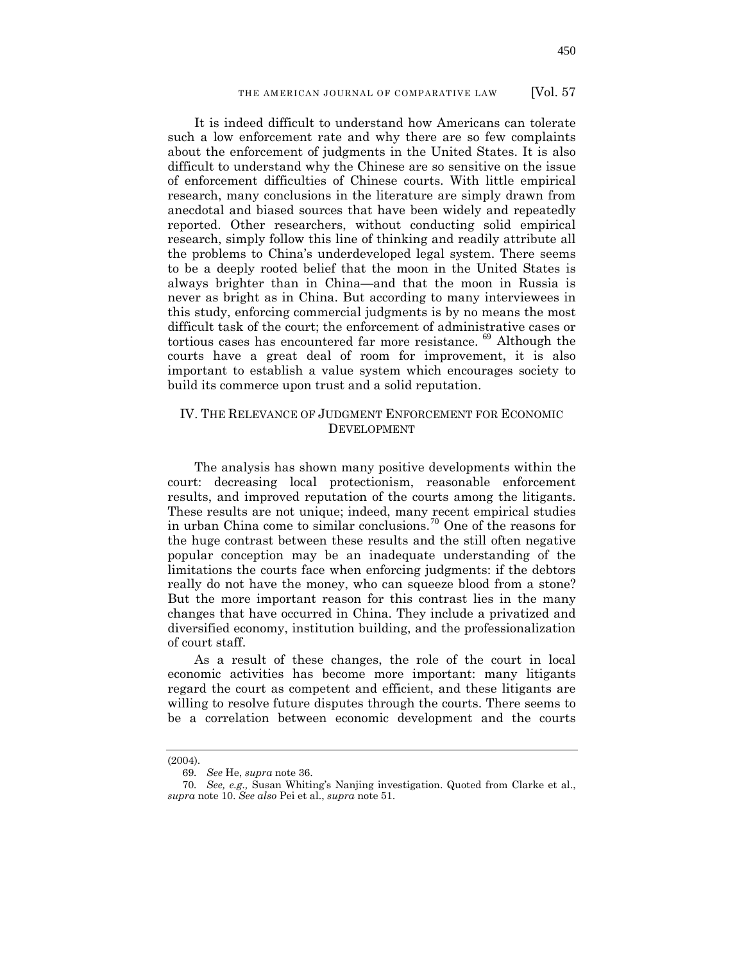It is indeed difficult to understand how Americans can tolerate such a low enforcement rate and why there are so few complaints about the enforcement of judgments in the United States. It is also difficult to understand why the Chinese are so sensitive on the issue of enforcement difficulties of Chinese courts. With little empirical research, many conclusions in the literature are simply drawn from anecdotal and biased sources that have been widely and repeatedly reported. Other researchers, without conducting solid empirical research, simply follow this line of thinking and readily attribute all the problems to China's underdeveloped legal system. There seems to be a deeply rooted belief that the moon in the United States is always brighter than in China—and that the moon in Russia is never as bright as in China. But according to many interviewees in this study, enforcing commercial judgments is by no means the most difficult task of the court; the enforcement of administrative cases or tortious cases has encountered far more resistance. <sup>[69](#page-31-0)</sup> Although the courts have a great deal of room for improvement, it is also important to establish a value system which encourages society to build its commerce upon trust and a solid reputation.

## IV. THE RELEVANCE OF JUDGMENT ENFORCEMENT FOR ECONOMIC DEVELOPMENT

The analysis has shown many positive developments within the court: decreasing local protectionism, reasonable enforcement results, and improved reputation of the courts among the litigants. These results are not unique; indeed, many recent empirical studies in urban China come to similar conclusions.[70](#page-31-1) One of the reasons for the huge contrast between these results and the still often negative popular conception may be an inadequate understanding of the limitations the courts face when enforcing judgments: if the debtors really do not have the money, who can squeeze blood from a stone? But the more important reason for this contrast lies in the many changes that have occurred in China. They include a privatized and diversified economy, institution building, and the professionalization of court staff.

As a result of these changes, the role of the court in local economic activities has become more important: many litigants regard the court as competent and efficient, and these litigants are willing to resolve future disputes through the courts. There seems to be a correlation between economic development and the courts

<sup>(2004).</sup> 

<sup>69</sup>*. See* He, *supra* note 36.

<span id="page-31-1"></span><span id="page-31-0"></span><sup>70</sup>*. See, e.g.,* Susan Whiting's Nanjing investigation. Quoted from Clarke et al., *supra* note 10. *See also* Pei et al., *supra* note 51.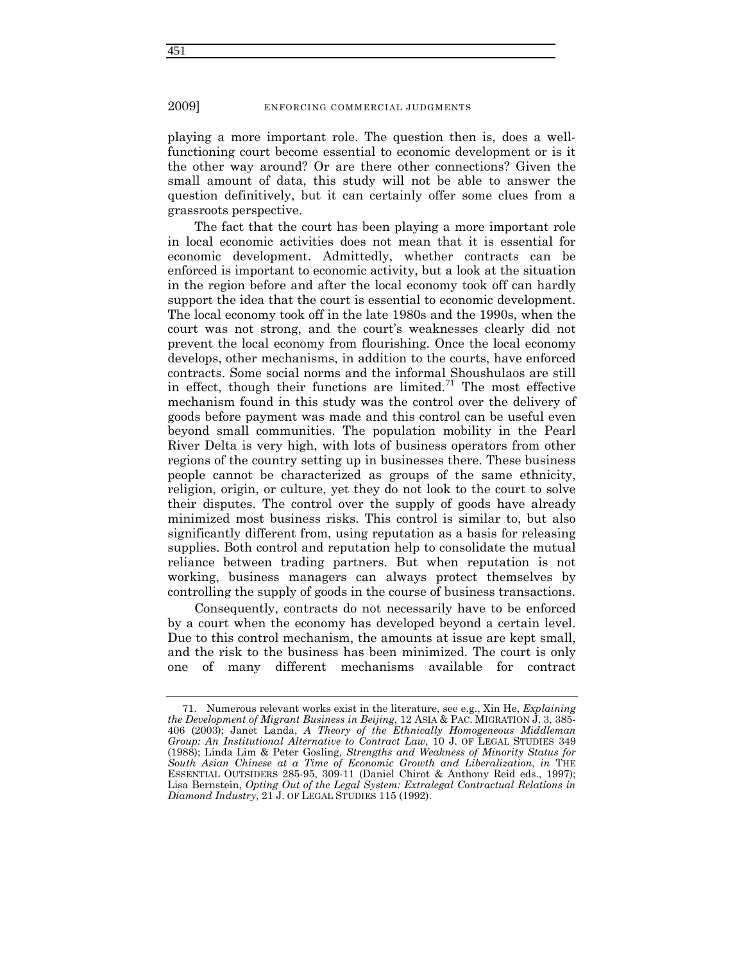playing a more important role. The question then is, does a wellfunctioning court become essential to economic development or is it the other way around? Or are there other connections? Given the small amount of data, this study will not be able to answer the question definitively, but it can certainly offer some clues from a grassroots perspective.

The fact that the court has been playing a more important role in local economic activities does not mean that it is essential for economic development. Admittedly, whether contracts can be enforced is important to economic activity, but a look at the situation in the region before and after the local economy took off can hardly support the idea that the court is essential to economic development. The local economy took off in the late 1980s and the 1990s, when the court was not strong, and the court's weaknesses clearly did not prevent the local economy from flourishing. Once the local economy develops, other mechanisms, in addition to the courts, have enforced contracts. Some social norms and the informal Shoushulaos are still in effect, though their functions are limited.<sup>[71](#page-32-0)</sup> The most effective mechanism found in this study was the control over the delivery of goods before payment was made and this control can be useful even beyond small communities. The population mobility in the Pearl River Delta is very high, with lots of business operators from other regions of the country setting up in businesses there. These business people cannot be characterized as groups of the same ethnicity, religion, origin, or culture, yet they do not look to the court to solve their disputes. The control over the supply of goods have already minimized most business risks. This control is similar to, but also significantly different from, using reputation as a basis for releasing supplies. Both control and reputation help to consolidate the mutual reliance between trading partners. But when reputation is not working, business managers can always protect themselves by controlling the supply of goods in the course of business transactions.

Consequently, contracts do not necessarily have to be enforced by a court when the economy has developed beyond a certain level. Due to this control mechanism, the amounts at issue are kept small, and the risk to the business has been minimized. The court is only one of many different mechanisms available for contract

<span id="page-32-0"></span> <sup>71.</sup> Numerous relevant works exist in the literature, see e.g., Xin He, *Explaining the Development of Migrant Business in Beijing*, 12 ASIA & PAC. MIGRATION J. 3, 385- 406 (2003); Janet Landa, *A Theory of the Ethnically Homogeneous Middleman Group: An Institutional Alternative to Contract Law*, 10 J. OF LEGAL STUDIES 349 (1988); Linda Lim & Peter Gosling, *Strengths and Weakness of Minority Status for South Asian Chinese at a Time of Economic Growth and Liberalization*, *in* THE ESSENTIAL OUTSIDERS 285-95, 309-11 (Daniel Chirot & Anthony Reid eds., 1997); Lisa Bernstein, *Opting Out of the Legal System: Extralegal Contractual Relations in Diamond Industry*, 21 J. OF LEGAL STUDIES 115 (1992).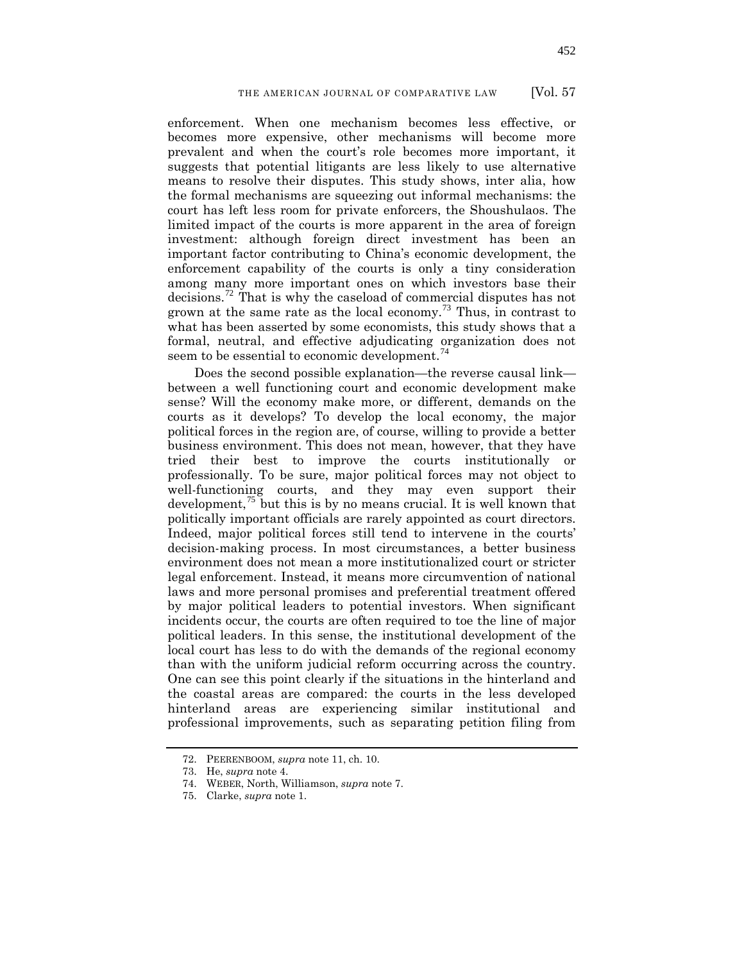enforcement. When one mechanism becomes less effective, or becomes more expensive, other mechanisms will become more prevalent and when the court's role becomes more important, it suggests that potential litigants are less likely to use alternative means to resolve their disputes. This study shows, inter alia, how the formal mechanisms are squeezing out informal mechanisms: the court has left less room for private enforcers, the Shoushulaos. The limited impact of the courts is more apparent in the area of foreign investment: although foreign direct investment has been an important factor contributing to China's economic development, the enforcement capability of the courts is only a tiny consideration among many more important ones on which investors base their decisions.[72](#page-33-0) That is why the caseload of commercial disputes has not grown at the same rate as the local economy.<sup>[73](#page-33-1)</sup> Thus, in contrast to what has been asserted by some economists, this study shows that a formal, neutral, and effective adjudicating organization does not seem to be essential to economic development.<sup>[74](#page-33-2)</sup>

Does the second possible explanation—the reverse causal link between a well functioning court and economic development make sense? Will the economy make more, or different, demands on the courts as it develops? To develop the local economy, the major political forces in the region are, of course, willing to provide a better business environment. This does not mean, however, that they have tried their best to improve the courts institutionally or professionally. To be sure, major political forces may not object to well-functioning courts, and they may even support their development, $^{75}$  $^{75}$  $^{75}$  but this is by no means crucial. It is well known that politically important officials are rarely appointed as court directors. Indeed, major political forces still tend to intervene in the courts' decision-making process. In most circumstances, a better business environment does not mean a more institutionalized court or stricter legal enforcement. Instead, it means more circumvention of national laws and more personal promises and preferential treatment offered by major political leaders to potential investors. When significant incidents occur, the courts are often required to toe the line of major political leaders. In this sense, the institutional development of the local court has less to do with the demands of the regional economy than with the uniform judicial reform occurring across the country. One can see this point clearly if the situations in the hinterland and the coastal areas are compared: the courts in the less developed hinterland areas are experiencing similar institutional and professional improvements, such as separating petition filing from

<span id="page-33-0"></span> <sup>72.</sup> PEERENBOOM, *supra* note 11, ch. 10.

<span id="page-33-1"></span> <sup>73.</sup> He, *supra* note 4.

<span id="page-33-2"></span> <sup>74.</sup> WEBER, North, Williamson, *supra* note 7.

<span id="page-33-3"></span> <sup>75.</sup> Clarke, *supra* note 1.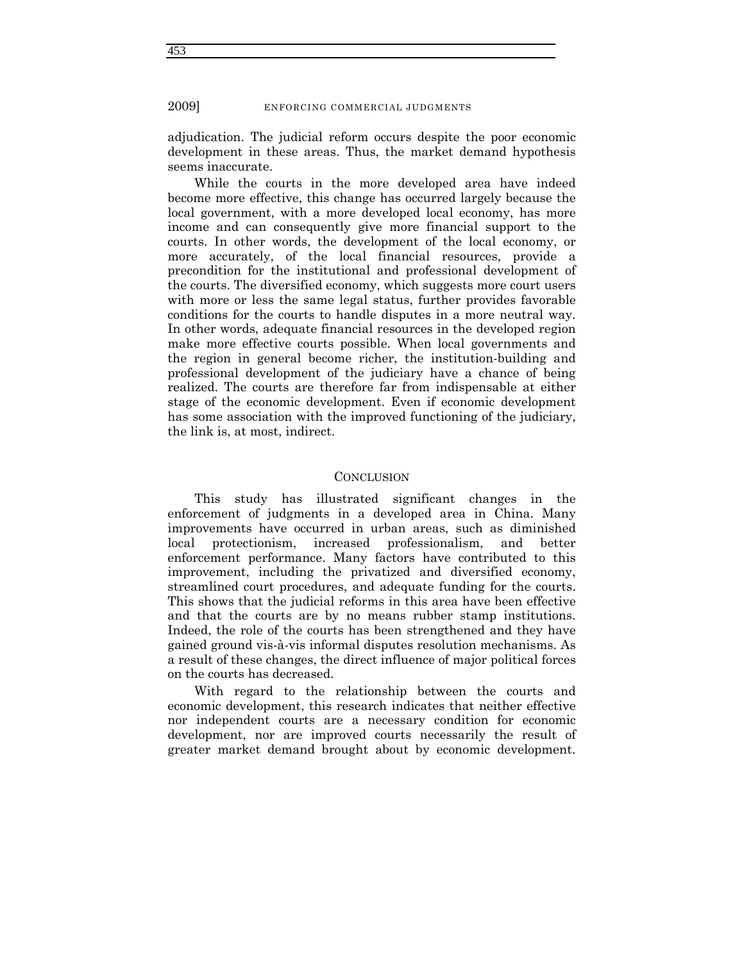adjudication. The judicial reform occurs despite the poor economic development in these areas. Thus, the market demand hypothesis seems inaccurate.

While the courts in the more developed area have indeed become more effective, this change has occurred largely because the local government, with a more developed local economy, has more income and can consequently give more financial support to the courts. In other words, the development of the local economy, or more accurately, of the local financial resources, provide a precondition for the institutional and professional development of the courts. The diversified economy, which suggests more court users with more or less the same legal status, further provides favorable conditions for the courts to handle disputes in a more neutral way. In other words, adequate financial resources in the developed region make more effective courts possible. When local governments and the region in general become richer, the institution-building and professional development of the judiciary have a chance of being realized. The courts are therefore far from indispensable at either stage of the economic development. Even if economic development has some association with the improved functioning of the judiciary, the link is, at most, indirect.

#### **CONCLUSION**

This study has illustrated significant changes in the enforcement of judgments in a developed area in China. Many improvements have occurred in urban areas, such as diminished local protectionism, increased professionalism, and better enforcement performance. Many factors have contributed to this improvement, including the privatized and diversified economy, streamlined court procedures, and adequate funding for the courts. This shows that the judicial reforms in this area have been effective and that the courts are by no means rubber stamp institutions. Indeed, the role of the courts has been strengthened and they have gained ground vis-à-vis informal disputes resolution mechanisms. As a result of these changes, the direct influence of major political forces on the courts has decreased.

With regard to the relationship between the courts and economic development, this research indicates that neither effective nor independent courts are a necessary condition for economic development, nor are improved courts necessarily the result of greater market demand brought about by economic development.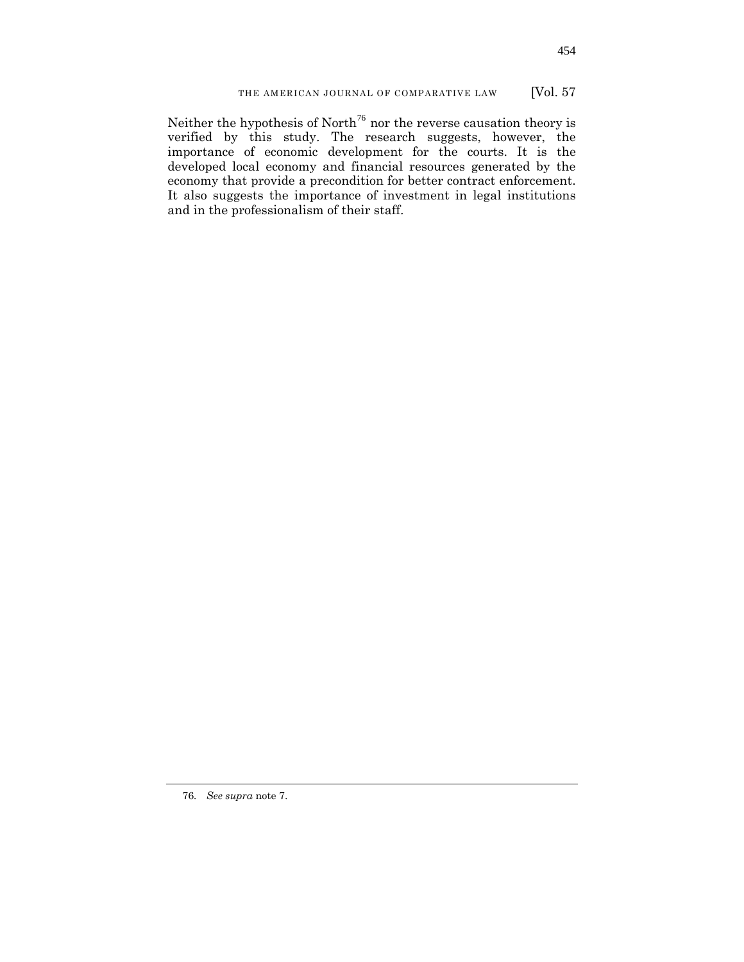Neither the hypothesis of North<sup>[76](#page-35-0)</sup> nor the reverse causation theory is verified by this study. The research suggests, however, the importance of economic development for the courts. It is the developed local economy and financial resources generated by the economy that provide a precondition for better contract enforcement. It also suggests the importance of investment in legal institutions and in the professionalism of their staff.

<span id="page-35-0"></span><sup>76</sup>*. See supra* note 7.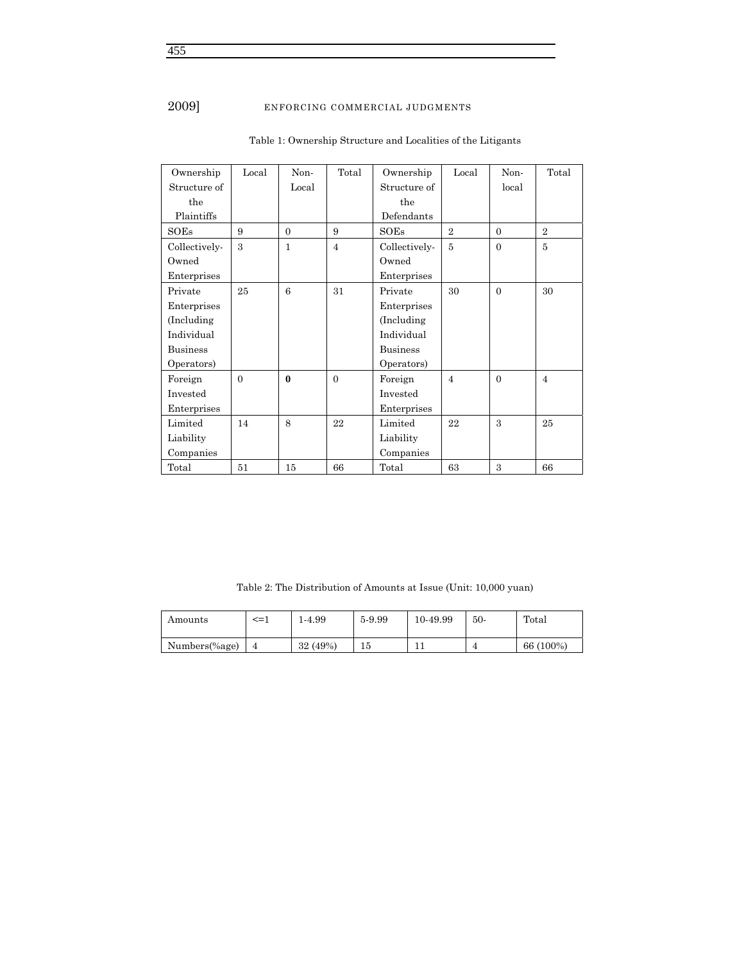| Ownership       | Local        | Non-           | Total          | Ownership                           | Local          | Non-     | Total          |
|-----------------|--------------|----------------|----------------|-------------------------------------|----------------|----------|----------------|
| Structure of    |              | Local          |                | Structure of                        |                | local    |                |
| the             |              |                |                | the                                 |                |          |                |
| Plaintiffs      |              |                |                | $\label{def:3} \textbf{Defendants}$ |                |          |                |
| <b>SOEs</b>     | 9            | $\overline{0}$ | 9              | <b>SOEs</b>                         | $\overline{2}$ | $\Omega$ | $\overline{2}$ |
| Collectively-   | $\mathbf{a}$ | 1              | $\overline{4}$ | Collectively-                       | 5              | $\Omega$ | 5              |
| Owned           |              |                |                | Owned                               |                |          |                |
| Enterprises     |              |                |                | Enterprises                         |                |          |                |
| Private         | 25           | 6              | 31             | Private                             | 30             | $\Omega$ | 30             |
| Enterprises     |              |                |                | Enterprises                         |                |          |                |
| (Including)     |              |                |                | (Including)                         |                |          |                |
| Individual      |              |                |                | Individual                          |                |          |                |
| <b>Business</b> |              |                |                | <b>Business</b>                     |                |          |                |
| Operators)      |              |                |                | Operators)                          |                |          |                |
| Foreign         | $\theta$     | $\bf{0}$       | $\Omega$       | Foreign                             | $\overline{4}$ | $\Omega$ | $\overline{4}$ |
| Invested        |              |                |                | Invested                            |                |          |                |
| Enterprises     |              |                |                | Enterprises                         |                |          |                |
| Limited         | 14           | 8              | 22             | Limited                             | 22             | 3        | 25             |
| Liability       |              |                |                | Liability                           |                |          |                |
| Companies       |              |                |                | Companies                           |                |          |                |
| Total           | 51           | 15             | 66             | Total                               | 63             | 3        | 66             |

## Table 1: Ownership Structure and Localities of the Litigants

Table 2: The Distribution of Amounts at Issue (Unit: 10,000 yuan)

| Amounts       | <=1 | l - 4.99 | 5-9.99 | 10-49.99 | 50- | Total     |
|---------------|-----|----------|--------|----------|-----|-----------|
| Numbers(%age) | 4   | 32 (49%) | 15     |          |     | 66 (100%) |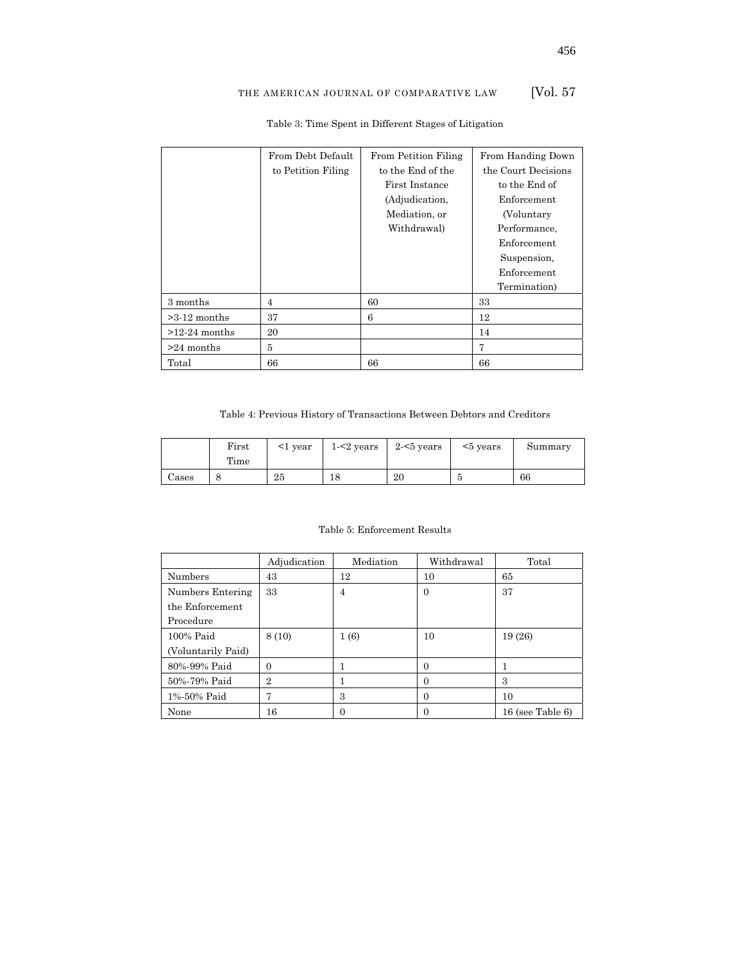# THE AMERICAN JOURNAL OF COMPARATIVE LAW [Vol. 57

|                 | From Debt Default  | From Petition Filing | From Handing Down   |
|-----------------|--------------------|----------------------|---------------------|
|                 | to Petition Filing | to the End of the    | the Court Decisions |
|                 |                    | First Instance       | to the End of       |
|                 |                    | (Adjudication,       | Enforcement         |
|                 |                    | Mediation, or        | <i>(Voluntary)</i>  |
|                 |                    | Withdrawal)          | Performance,        |
|                 |                    |                      | Enforcement         |
|                 |                    |                      | Suspension,         |
|                 |                    |                      | Enforcement         |
|                 |                    |                      | Termination)        |
| 3 months        | $\overline{4}$     | 60                   | 33                  |
| $>3-12$ months  | 37                 | 6                    | 12                  |
| $>12-24$ months | 20                 |                      | 14                  |
| $>24$ months    | 5                  |                      | 7                   |
| Total           | 66                 | 66                   | 66                  |

Table 3: Time Spent in Different Stages of Litigation

Table 4: Previous History of Transactions Between Debtors and Creditors

|       | First<br>Time | $\leq 1$ year | $1 - 2$ years | $2 - 5$ years | $5$ years | Summary |
|-------|---------------|---------------|---------------|---------------|-----------|---------|
| Cases |               | 25            | 18            | 20            |           | 66      |

#### Table 5: Enforcement Results

|                    | Adjudication   | Mediation | Withdrawal | Total            |
|--------------------|----------------|-----------|------------|------------------|
| Numbers            | 43             | 12        | 10         | 65               |
| Numbers Entering   | 33             | 4         | $\theta$   | 37               |
| the Enforcement    |                |           |            |                  |
| Procedure          |                |           |            |                  |
| 100% Paid          | 8(10)          | 1(6)      | 10         | 19(26)           |
| (Voluntarily Paid) |                |           |            |                  |
| 80%-99% Paid       | $\Omega$       |           | 0          |                  |
| 50%-79% Paid       | $\overline{2}$ |           | 0          | 3                |
| 1%-50% Paid        |                | 3         | 0          | 10               |
| None               | 16             | 0         |            | 16 (see Table 6) |